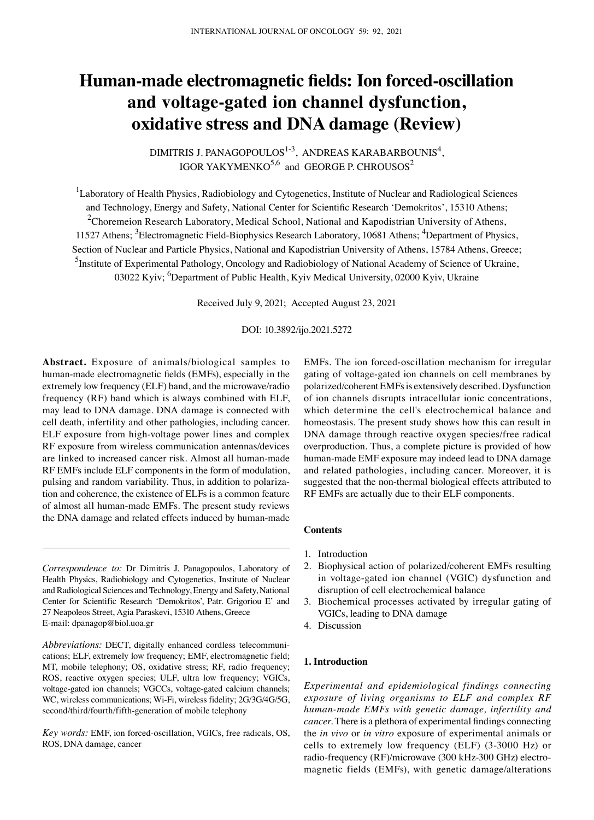# **Human‑made electromagnetic fields: Ion forced‑oscillation and voltage‑gated ion channel dysfunction, oxidative stress and DNA damage (Review)**

DIMITRIS J. PANAGOPOULOS<sup>1-3</sup>, ANDREAS KARABARBOUNIS<sup>4</sup>, IGOR YAKYMENKO $^{5,6}$  and GEORGE P. CHROUSOS<sup>2</sup>

<sup>1</sup>Laboratory of Health Physics, Radiobiology and Cytogenetics, Institute of Nuclear and Radiological Sciences and Technology, Energy and Safety, National Center for Scientific Research 'Demokritos', 15310 Athens; <sup>2</sup>Choremeion Research Laboratory, Medical School, National and Kapodistrian University of Athens, 11527 Athens; <sup>3</sup>Electromagnetic Field-Biophysics Research Laboratory, 10681 Athens; <sup>4</sup>Department of Physics, Section of Nuclear and Particle Physics, National and Kapodistrian University of Athens, 15784 Athens, Greece; <sup>5</sup>Institute of Experimental Pathology, Oncology and Radiobiology of National Academy of Science of Ukraine, 03022 Kyiv; <sup>6</sup>Department of Public Health, Kyiv Medical University, 02000 Kyiv, Ukraine

Received July 9, 2021; Accepted August 23, 2021

DOI: 10.3892/ijo.2021.5272

**Abstract.** Exposure of animals/biological samples to human‑made electromagnetic fields (EMFs), especially in the extremely low frequency (ELF) band, and the microwave/radio frequency (RF) band which is always combined with ELF, may lead to DNA damage. DNA damage is connected with cell death, infertility and other pathologies, including cancer. ELF exposure from high-voltage power lines and complex RF exposure from wireless communication antennas/devices are linked to increased cancer risk. Almost all human‑made RF EMFs include ELF components in the form of modulation, pulsing and random variability. Thus, in addition to polarization and coherence, the existence of ELFs is a common feature of almost all human‑made EMFs. The present study reviews the DNA damage and related effects induced by human-made

*Correspondence to:* Dr Dimitris J. Panagopoulos, Laboratory of Health Physics, Radiobiology and Cytogenetics, Institute of Nuclear and Radiological Sciences and Technology, Energy and Safety, National Center for Scientific Research 'Demokritos', Patr. Grigoriou E' and 27 Neapoleos Street, Agia Paraskevi, 15310 Athens, Greece E‑mail: dpanagop@biol.uoa.gr

*Abbreviations:* DECT, digitally enhanced cordless telecommunications; ELF, extremely low frequency; EMF, electromagnetic field; MT, mobile telephony; OS, oxidative stress; RF, radio frequency; ROS, reactive oxygen species; ULF, ultra low frequency; VGICs, voltage-gated ion channels; VGCCs, voltage-gated calcium channels; WC, wireless communications; Wi‑Fi, wireless fidelity; 2G/3G/4G/5G, second/third/fourth/fifth-generation of mobile telephony

*Key words:* EMF, ion forced‑oscillation, VGICs, free radicals, OS, ROS, DNA damage, cancer

EMFs. The ion forced‑oscillation mechanism for irregular gating of voltage‑gated ion channels on cell membranes by polarized/coherent EMFs is extensively described. Dysfunction of ion channels disrupts intracellular ionic concentrations, which determine the cell's electrochemical balance and homeostasis. The present study shows how this can result in DNA damage through reactive oxygen species/free radical overproduction. Thus, a complete picture is provided of how human‑made EMF exposure may indeed lead to DNA damage and related pathologies, including cancer. Moreover, it is suggested that the non-thermal biological effects attributed to RF EMFs are actually due to their ELF components.

## **Contents**

- 1. Introduction
- 2. Biophysical action of polarized/coherent EMFs resulting in voltage‑gated ion channel (VGIC) dysfunction and disruption of cell electrochemical balance
- 3. Biochemical processes activated by irregular gating of VGICs, leading to DNA damage
- 4. Discussion

## **1. Introduction**

*Experimental and epidemiological findings connecting exposure of living organisms to ELF and complex RF human‑made EMFs with genetic damage, infertility and cancer.* There is a plethora of experimental findings connecting the *in vivo* or *in vitro* exposure of experimental animals or cells to extremely low frequency (ELF) (3‑3000 Hz) or radio‑frequency (RF)/microwave (300 kHz‑300 GHz) electromagnetic fields (EMFs), with genetic damage/alterations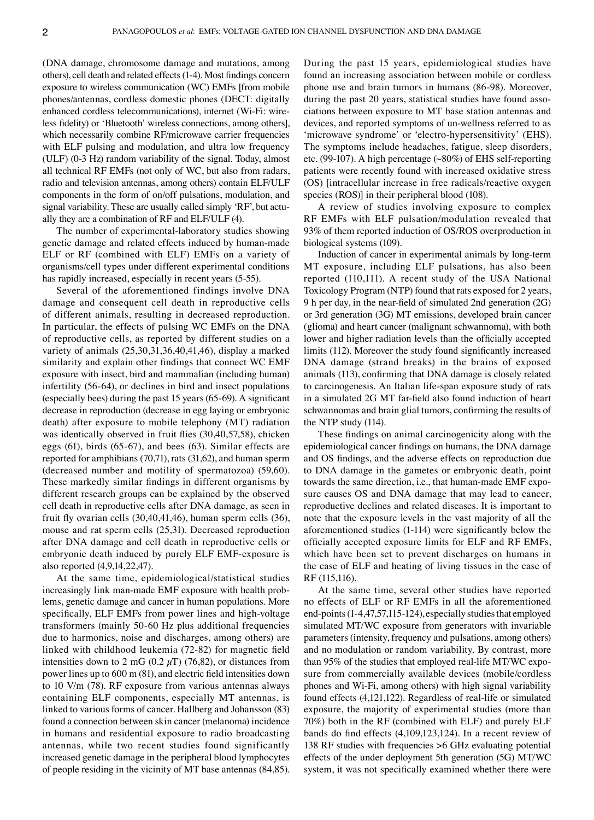(DNA damage, chromosome damage and mutations, among others), cell death and related effects(1‑4). Most findings concern exposure to wireless communication (WC) EMFs [from mobile phones/antennas, cordless domestic phones (DECT: digitally enhanced cordless telecommunications), internet (Wi-Fi: wireless fidelity) or 'Bluetooth' wireless connections, among others], which necessarily combine RF/microwave carrier frequencies with ELF pulsing and modulation, and ultra low frequency (ULF) (0‑3 Hz) random variability of the signal. Today, almost all technical RF EMFs (not only of WC, but also from radars, radio and television antennas, among others) contain ELF/ULF components in the form of on/off pulsations, modulation, and signal variability. These are usually called simply 'RF', but actually they are a combination of RF and ELF/ULF (4).

The number of experimental-laboratory studies showing genetic damage and related effects induced by human-made ELF or RF (combined with ELF) EMFs on a variety of organisms/cell types under different experimental conditions has rapidly increased, especially in recent years (5-55).

Several of the aforementioned findings involve DNA damage and consequent cell death in reproductive cells of different animals, resulting in decreased reproduction. In particular, the effects of pulsing WC EMFs on the DNA of reproductive cells, as reported by different studies on a variety of animals (25,30,31,36,40,41,46), display a marked similarity and explain other findings that connect WC EMF exposure with insect, bird and mammalian (including human) infertility (56‑64), or declines in bird and insect populations (especially bees) during the past 15 years (65‑69). A significant decrease in reproduction (decrease in egg laying or embryonic death) after exposure to mobile telephony (MT) radiation was identically observed in fruit flies (30,40,57,58), chicken eggs (61), birds (65‑67), and bees (63). Similar effects are reported for amphibians (70,71), rats (31,62), and human sperm (decreased number and motility of spermatozoa) (59,60). These markedly similar findings in different organisms by different research groups can be explained by the observed cell death in reproductive cells after DNA damage, as seen in fruit fly ovarian cells (30,40,41,46), human sperm cells (36), mouse and rat sperm cells (25,31). Decreased reproduction after DNA damage and cell death in reproductive cells or embryonic death induced by purely ELF EMF‑exposure is also reported (4,9,14,22,47).

At the same time, epidemiological/statistical studies increasingly link man-made EMF exposure with health problems, genetic damage and cancer in human populations. More specifically, ELF EMFs from power lines and high-voltage transformers (mainly 50‑60 Hz plus additional frequencies due to harmonics, noise and discharges, among others) are linked with childhood leukemia (72‑82) for magnetic field intensities down to 2 mG (0.2  $\mu$ T) (76,82), or distances from power lines up to 600 m (81), and electric field intensities down to 10 V/m (78). RF exposure from various antennas always containing ELF components, especially MT antennas, is linked to various forms of cancer. Hallberg and Johansson (83) found a connection between skin cancer (melanoma) incidence in humans and residential exposure to radio broadcasting antennas, while two recent studies found significantly increased genetic damage in the peripheral blood lymphocytes of people residing in the vicinity of MT base antennas (84,85). During the past 15 years, epidemiological studies have found an increasing association between mobile or cordless phone use and brain tumors in humans (86‑98). Moreover, during the past 20 years, statistical studies have found associations between exposure to MT base station antennas and devices, and reported symptoms of un‑wellness referred to as 'microwave syndrome' or 'electro-hypersensitivity' (EHS). The symptoms include headaches, fatigue, sleep disorders, etc. (99-107). A high percentage  $(\sim 80\%)$  of EHS self-reporting patients were recently found with increased oxidative stress (OS) [intracellular increase in free radicals/reactive oxygen species (ROS)] in their peripheral blood (108).

A review of studies involving exposure to complex RF EMFs with ELF pulsation/modulation revealed that 93% of them reported induction of OS/ROS overproduction in biological systems (109).

Induction of cancer in experimental animals by long‑term MT exposure, including ELF pulsations, has also been reported (110,111). A recent study of the USA National Toxicology Program (NTP) found that rats exposed for 2 years, 9 h per day, in the near‑field of simulated 2nd generation (2G) or 3rd generation (3G) MT emissions, developed brain cancer (glioma) and heart cancer (malignant schwannoma), with both lower and higher radiation levels than the officially accepted limits (112). Moreover the study found significantly increased DNA damage (strand breaks) in the brains of exposed animals (113), confirming that DNA damage is closely related to carcinogenesis. An Italian life‑span exposure study of rats in a simulated 2G MT far‑field also found induction of heart schwannomas and brain glial tumors, confirming the results of the NTP study (114).

These findings on animal carcinogenicity along with the epidemiological cancer findings on humans, the DNA damage and OS findings, and the adverse effects on reproduction due to DNA damage in the gametes or embryonic death, point towards the same direction, i.e., that human-made EMF exposure causes OS and DNA damage that may lead to cancer, reproductive declines and related diseases. It is important to note that the exposure levels in the vast majority of all the aforementioned studies (1‑114) were significantly below the officially accepted exposure limits for ELF and RF EMFs, which have been set to prevent discharges on humans in the case of ELF and heating of living tissues in the case of RF (115,116).

At the same time, several other studies have reported no effects of ELF or RF EMFs in all the aforementioned end-points (1-4,47,57,115-124), especially studies that employed simulated MT/WC exposure from generators with invariable parameters (intensity, frequency and pulsations, among others) and no modulation or random variability. By contrast, more than 95% of the studies that employed real-life MT/WC exposure from commercially available devices (mobile/cordless phones and Wi‑Fi, among others) with high signal variability found effects (4,121,122). Regardless of real-life or simulated exposure, the majority of experimental studies (more than 70%) both in the RF (combined with ELF) and purely ELF bands do find effects (4,109,123,124). In a recent review of 138 RF studies with frequencies >6 GHz evaluating potential effects of the under deployment 5th generation (5G) MT/WC system, it was not specifically examined whether there were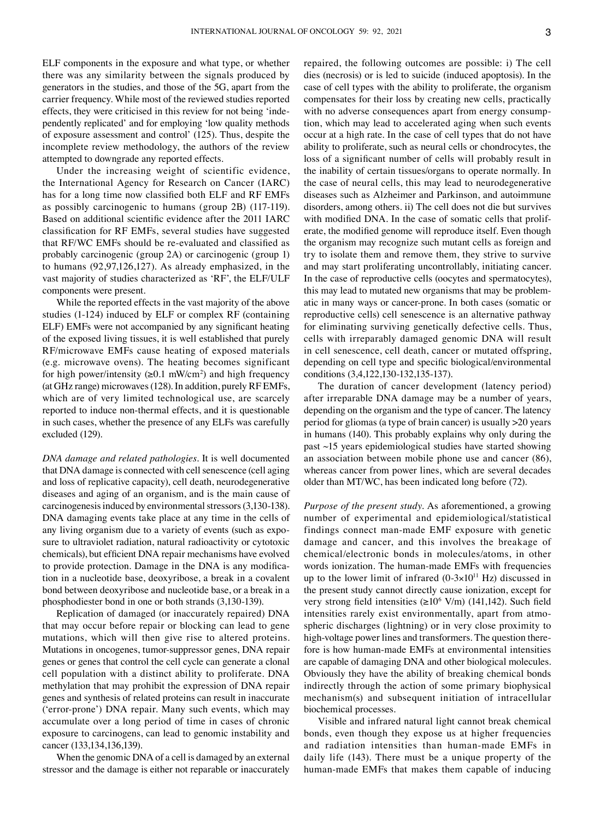ELF components in the exposure and what type, or whether there was any similarity between the signals produced by generators in the studies, and those of the 5G, apart from the carrier frequency. While most of the reviewed studies reported effects, they were criticised in this review for not being 'inde‑ pendently replicated' and for employing 'low quality methods of exposure assessment and control' (125). Thus, despite the incomplete review methodology, the authors of the review attempted to downgrade any reported effects.

Under the increasing weight of scientific evidence, the International Agency for Research on Cancer (IARC) has for a long time now classified both ELF and RF EMFs as possibly carcinogenic to humans (group 2B) (117‑119). Based on additional scientific evidence after the 2011 IARC classification for RF EMFs, several studies have suggested that RF/WC EMFs should be re‑evaluated and classified as probably carcinogenic (group 2A) or carcinogenic (group 1) to humans (92,97,126,127). As already emphasized, in the vast majority of studies characterized as 'RF', the ELF/ULF components were present.

While the reported effects in the vast majority of the above studies (1‑124) induced by ELF or complex RF (containing ELF) EMFs were not accompanied by any significant heating of the exposed living tissues, it is well established that purely RF/microwave EMFs cause heating of exposed materials (e.g. microwave ovens). The heating becomes significant for high power/intensity ( $\geq 0.1$  mW/cm<sup>2</sup>) and high frequency (at GHz range) microwaves(128). In addition, purely RF EMFs, which are of very limited technological use, are scarcely reported to induce non-thermal effects, and it is questionable in such cases, whether the presence of any ELFs was carefully excluded (129).

*DNA damage and related pathologies.* It is well documented that DNA damage is connected with cell senescence (cell aging and loss of replicative capacity), cell death, neurodegenerative diseases and aging of an organism, and is the main cause of carcinogenesis induced by environmental stressors (3,130-138). DNA damaging events take place at any time in the cells of any living organism due to a variety of events (such as exposure to ultraviolet radiation, natural radioactivity or cytotoxic chemicals), but efficient DNA repair mechanisms have evolved to provide protection. Damage in the DNA is any modification in a nucleotide base, deoxyribose, a break in a covalent bond between deoxyribose and nucleotide base, or a break in a phosphodiester bond in one or both strands (3,130‑139).

Replication of damaged (or inaccurately repaired) DNA that may occur before repair or blocking can lead to gene mutations, which will then give rise to altered proteins. Mutations in oncogenes, tumor‑suppressor genes, DNA repair genes or genes that control the cell cycle can generate a clonal cell population with a distinct ability to proliferate. DNA methylation that may prohibit the expression of DNA repair genes and synthesis of related proteins can result in inaccurate ('error‑prone') DNA repair. Many such events, which may accumulate over a long period of time in cases of chronic exposure to carcinogens, can lead to genomic instability and cancer (133,134,136,139).

When the genomic DNA of a cell is damaged by an external stressor and the damage is either not reparable or inaccurately repaired, the following outcomes are possible: i) The cell dies (necrosis) or is led to suicide (induced apoptosis). In the case of cell types with the ability to proliferate, the organism compensates for their loss by creating new cells, practically with no adverse consequences apart from energy consumption, which may lead to accelerated aging when such events occur at a high rate. In the case of cell types that do not have ability to proliferate, such as neural cells or chondrocytes, the loss of a significant number of cells will probably result in the inability of certain tissues/organs to operate normally. In the case of neural cells, this may lead to neurodegenerative diseases such as Alzheimer and Parkinson, and autoimmune disorders, among others. ii) The cell does not die but survives with modified DNA. In the case of somatic cells that proliferate, the modified genome will reproduce itself. Even though the organism may recognize such mutant cells as foreign and try to isolate them and remove them, they strive to survive and may start proliferating uncontrollably, initiating cancer. In the case of reproductive cells (oocytes and spermatocytes), this may lead to mutated new organisms that may be problematic in many ways or cancer‑prone. In both cases (somatic or reproductive cells) cell senescence is an alternative pathway for eliminating surviving genetically defective cells. Thus, cells with irreparably damaged genomic DNA will result in cell senescence, cell death, cancer or mutated offspring, depending on cell type and specific biological/environmental conditions (3,4,122,130-132,135-137).

The duration of cancer development (latency period) after irreparable DNA damage may be a number of years, depending on the organism and the type of cancer. The latency period for gliomas (a type of brain cancer) is usually >20 years in humans (140). This probably explains why only during the past ~15 years epidemiological studies have started showing an association between mobile phone use and cancer (86), whereas cancer from power lines, which are several decades older than MT/WC, has been indicated long before (72).

*Purpose of the present study.* As aforementioned, a growing number of experimental and epidemiological/statistical findings connect man‑made EMF exposure with genetic damage and cancer, and this involves the breakage of chemical/electronic bonds in molecules/atoms, in other words ionization. The human-made EMFs with frequencies up to the lower limit of infrared  $(0-3\times10^{11} \text{ Hz})$  discussed in the present study cannot directly cause ionization, except for very strong field intensities (≥10<sup>6</sup> V/m) (141,142). Such field intensities rarely exist environmentally, apart from atmospheric discharges (lightning) or in very close proximity to high-voltage power lines and transformers. The question therefore is how human-made EMFs at environmental intensities are capable of damaging DNA and other biological molecules. Obviously they have the ability of breaking chemical bonds indirectly through the action of some primary biophysical mechanism(s) and subsequent initiation of intracellular biochemical processes.

Visible and infrared natural light cannot break chemical bonds, even though they expose us at higher frequencies and radiation intensities than human‑made EMFs in daily life (143). There must be a unique property of the human‑made EMFs that makes them capable of inducing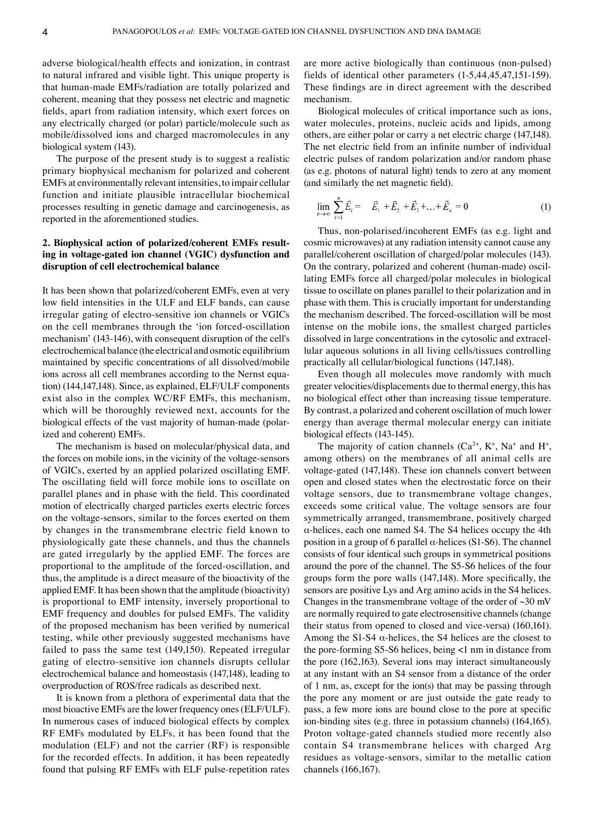adverse biological/health effects and ionization, in contrast to natural infrared and visible light. This unique property is that human‑made EMFs/radiation are totally polarized and coherent, meaning that they possess net electric and magnetic fields, apart from radiation intensity, which exert forces on any electrically charged (or polar) particle/molecule such as mobile/dissolved ions and charged macromolecules in any biological system (143).

The purpose of the present study is to suggest a realistic primary biophysical mechanism for polarized and coherent EMFs at environmentally relevant intensities, to impair cellular function and initiate plausible intracellular biochemical processes resulting in genetic damage and carcinogenesis, as reported in the aforementioned studies.

# **2. Biophysical action of polarized/coherent EMFs resulting in voltage‑gated ion channel (VGIC) dysfunction and disruption of cell electrochemical balance**

It has been shown that polarized/coherent EMFs, even at very low field intensities in the ULF and ELF bands, can cause irregular gating of electro‑sensitive ion channels or VGICs on the cell membranes through the 'ion forced‑oscillation mechanism' (143‑146), with consequent disruption of the cell's electrochemical balance (the electrical and osmotic equilibrium maintained by specific concentrations of all dissolved/mobile ions across all cell membranes according to the Nernst equation) (144,147,148). Since, as explained, ELF/ULF components exist also in the complex WC/RF EMFs, this mechanism, which will be thoroughly reviewed next, accounts for the biological effects of the vast majority of human-made (polarized and coherent) EMFs.

The mechanism is based on molecular/physical data, and the forces on mobile ions, in the vicinity of the voltage‑sensors of VGICs, exerted by an applied polarized oscillating EMF. The oscillating field will force mobile ions to oscillate on parallel planes and in phase with the field. This coordinated motion of electrically charged particles exerts electric forces on the voltage‑sensors, similar to the forces exerted on them by changes in the transmembrane electric field known to physiologically gate these channels, and thus the channels are gated irregularly by the applied EMF. The forces are proportional to the amplitude of the forced‑oscillation, and thus, the amplitude is a direct measure of the bioactivity of the applied EMF. It has been shown that the amplitude (bioactivity) is proportional to EMF intensity, inversely proportional to EMF frequency and doubles for pulsed EMFs. The validity of the proposed mechanism has been verified by numerical testing, while other previously suggested mechanisms have failed to pass the same test (149,150). Repeated irregular gating of electro‑sensitive ion channels disrupts cellular electrochemical balance and homeostasis (147,148), leading to overproduction of ROS/free radicals as described next.

It is known from a plethora of experimental data that the most bioactive EMFs are the lower frequency ones (ELF/ULF). In numerous cases of induced biological effects by complex RF EMFs modulated by ELFs, it has been found that the modulation (ELF) and not the carrier (RF) is responsible for the recorded effects. In addition, it has been repeatedly found that pulsing RF EMFs with ELF pulse-repetition rates are more active biologically than continuous (non-pulsed) fields of identical other parameters (1‑5,44,45,47,151‑159). These findings are in direct agreement with the described mechanism.

Biological molecules of critical importance such as ions, water molecules, proteins, nucleic acids and lipids, among others, are either polar or carry a net electric charge (147,148). The net electric field from an infinite number of individual electric pulses of random polarization and/or random phase (as e.g. photons of natural light) tends to zero at any moment (and similarly the net magnetic field).

$$
\lim_{n \to \infty} \sum_{i=1}^{n} \vec{E}_i = \vec{E}_1 + \vec{E}_2 + \vec{E}_3 + \dots + \vec{E}_n = 0 \tag{1}
$$

Thus, non‑polarised/incoherent EMFs (as e.g. light and cosmic microwaves) at any radiation intensity cannot cause any parallel/coherent oscillation of charged/polar molecules (143). On the contrary, polarized and coherent (human-made) oscillating EMFs force all charged/polar molecules in biological tissue to oscillate on planes parallel to their polarization and in phase with them. This is crucially important for understanding the mechanism described. The forced‑oscillation will be most intense on the mobile ions, the smallest charged particles dissolved in large concentrations in the cytosolic and extracellular aqueous solutions in all living cells/tissues controlling practically all cellular/biological functions (147,148).

Even though all molecules move randomly with much greater velocities/displacements due to thermal energy, this has no biological effect other than increasing tissue temperature. By contrast, a polarized and coherent oscillation of much lower energy than average thermal molecular energy can initiate biological effects (143‑145).

The majority of cation channels  $(Ca^{2+}, K^+, Na^+$  and  $H^+,$ among others) on the membranes of all animal cells are voltage‑gated (147,148). These ion channels convert between open and closed states when the electrostatic force on their voltage sensors, due to transmembrane voltage changes, exceeds some critical value. The voltage sensors are four symmetrically arranged, transmembrane, positively charged  $\alpha$ -helices, each one named S4. The S4 helices occupy the 4th position in a group of 6 parallel  $\alpha$ -helices (S1-S6). The channel consists of four identical such groups in symmetrical positions around the pore of the channel. The S5‑S6 helices of the four groups form the pore walls (147,148). More specifically, the sensors are positive Lys and Arg amino acids in the S4 helices. Changes in the transmembrane voltage of the order of  $\sim$ 30 mV are normally required to gate electrosensitive channels (change their status from opened to closed and vice-versa) (160,161). Among the S1-S4  $\alpha$ -helices, the S4 helices are the closest to the pore‑forming S5‑S6 helices, being <1 nm in distance from the pore (162,163). Several ions may interact simultaneously at any instant with an S4 sensor from a distance of the order of 1 nm, as, except for the ion(s) that may be passing through the pore any moment or are just outside the gate ready to pass, a few more ions are bound close to the pore at specific ion-binding sites (e.g. three in potassium channels) (164,165). Proton voltage‑gated channels studied more recently also contain S4 transmembrane helices with charged Arg residues as voltage‑sensors, similar to the metallic cation channels (166,167).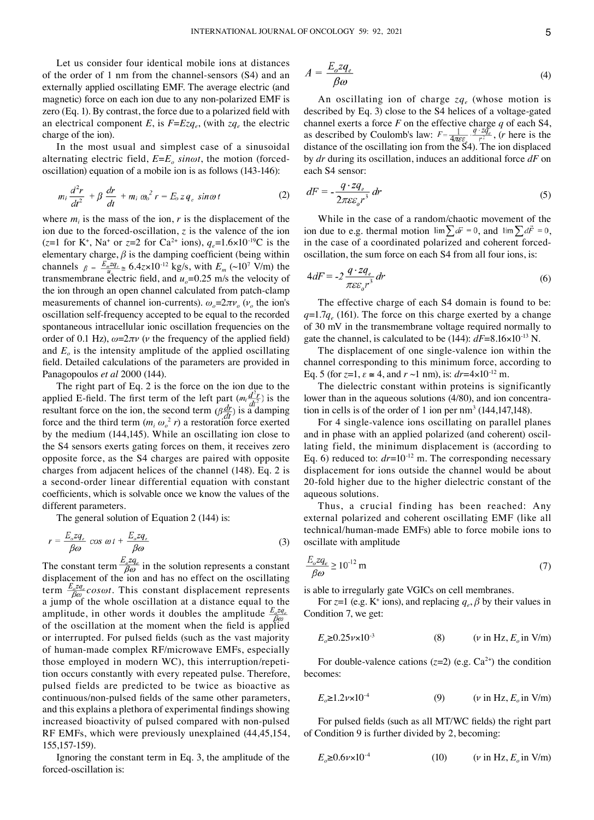Let us consider four identical mobile ions at distances of the order of 1 nm from the channel-sensors (S4) and an externally applied oscillating EMF. The average electric (and magnetic) force on each ion due to any non‑polarized EMF is zero (Eq. 1). By contrast, the force due to a polarized field with an electrical component *E*, is  $F = Ezq_e$ , (with  $zq_e$  the electric charge of the ion).

In the most usual and simplest case of a sinusoidal alternating electric field,  $E=E_o \sin \omega t$ , the motion (forcedoscillation) equation of a mobile ion is as follows (143‑146):

$$
m_i \frac{d^2r}{dt^2} + \beta \frac{dr}{dt} + m_i \omega_o^2 r = E_o z q_e \sin \omega t \tag{2}
$$

where  $m_i$  is the mass of the ion,  $r$  is the displacement of the ion due to the forced-oscillation,  $z$  is the valence of the ion  $(z=1$  for K<sup>+</sup>, Na<sup>+</sup> or  $z=2$  for Ca<sup>2+</sup> ions),  $q_e=1.6\times10^{-19}$ C is the elementary charge,  $\beta$  is the damping coefficient (being within channels  $\beta = \frac{E_m z q_e}{u_e} \approx 6.4 z \times 10^{-12}$  kg/s, with  $E_m$  (~10<sup>7</sup> V/m) the transmembrane electric field, and  $u<sub>o</sub>=0.25$  m/s the velocity of the ion through an open channel calculated from patch-clamp measurements of channel ion-currents).  $\omega_o = 2\pi v_o$  ( $v_o$  the ion's oscillation self‑frequency accepted to be equal to the recorded spontaneous intracellular ionic oscillation frequencies on the order of 0.1 Hz),  $\omega = 2\pi v$  (*v* the frequency of the applied field) and  $E<sub>o</sub>$  is the intensity amplitude of the applied oscillating field. Detailed calculations of the parameters are provided in Panagopoulos *et al* 2000 (144).

The right part of Eq. 2 is the force on the ion due to the applied E-field. The first term of the left part  $(m_i \frac{d}{dt^2})$  is the resultant force on the ion, the second term  $(\beta \frac{dr}{dt})$  is a damping force and the third term  $(m_i \omega_o^2 r)$  a restoration force exerted by the medium (144,145). While an oscillating ion close to the S4 sensors exerts gating forces on them, it receives zero opposite force, as the S4 charges are paired with opposite charges from adjacent helices of the channel (148). Eq. 2 is a second‑order linear differential equation with constant coefficients, which is solvable once we know the values of the different parameters.

The general solution of Εquation 2 (144) is:

$$
r = \frac{E_o z q_e}{\beta \omega} \cos \omega t + \frac{E_o z q_e}{\beta \omega} \tag{3}
$$

The constant term  $\frac{\partial^2 \mathcal{F}_{\epsilon}}{\partial \omega}$  in the solution represents a constant displacement of the ion and has no effect on the oscillating term  $\frac{E_o z q_e}{\beta \omega}$  cos $\omega t$ . This constant displacement represents a jump of the whole oscillation at a distance equal to the amplitude, in other words it doubles the amplitude  $\frac{E_c z q_e}{\beta \omega}$ of the oscillation at the moment when the field is applied or interrupted. For pulsed fields (such as the vast majority of human‑made complex RF/microwave EMFs, especially those employed in modern WC), this interruption/repetition occurs constantly with every repeated pulse. Therefore, pulsed fields are predicted to be twice as bioactive as continuous/non‑pulsed fields of the same other parameters, and this explains a plethora of experimental findings showing increased bioactivity of pulsed compared with non‑pulsed RF EMFs, which were previously unexplained (44,45,154, 155,157‑159).

Ignoring the constant term in Eq. 3, the amplitude of the forced‑oscillation is:

$$
A = \frac{E_o z q_e}{\beta \omega} \tag{4}
$$

An oscillating ion of charge  $zq_e$  (whose motion is described by Eq. 3) close to the S4 helices of a voltage-gated channel exerts a force *F* on the effective charge *q* of each S4, as described by Coulomb's law:  $F = \frac{1}{4\pi\epsilon\epsilon_0} \cdot \frac{q^2 - q_e}{r^2}$ , (*r* here is the distance of the oscillating ion from the S4). The ion displaced by *dr* during its oscillation, induces an additional force *dF* on each S4 sensor:

$$
dF = -\frac{q \cdot zq_e}{2\pi \varepsilon \varepsilon_o r^3} dr \tag{5}
$$

While in the case of a random/chaotic movement of the ion due to e.g. thermal motion  $\lim \sum d\vec{r} = 0$ , and  $\lim \sum d\vec{r} = 0$ , in the case of a coordinated polarized and coherent forcedoscillation, the sum force on each S4 from all four ions, is:

$$
4dF = -2\frac{q \cdot zq_e}{\pi \varepsilon \varepsilon_o r^3} dr \tag{6}
$$

The effective charge of each S4 domain is found to be:  $q=1.7q_e$  (161). The force on this charge exerted by a change of 30 mV in the transmembrane voltage required normally to gate the channel, is calculated to be  $(144)$ :  $dF=8.16\times10^{-13}$  N.

The displacement of one single-valence ion within the channel corresponding to this minimum force, according to Eq. 5 (for  $z=1$ ,  $\varepsilon \approx 4$ , and  $r \sim 1$  nm), is:  $dr=4\times10^{-12}$  m.

The dielectric constant within proteins is significantly lower than in the aqueous solutions (4/80), and ion concentration in cells is of the order of 1 ion per  $nm^3$  (144,147,148).

For 4 single-valence ions oscillating on parallel planes and in phase with an applied polarized (and coherent) oscillating field, the minimum displacement is (according to Eq. 6) reduced to:  $dr=10^{-12}$  m. The corresponding necessary displacement for ions outside the channel would be about 20‑fold higher due to the higher dielectric constant of the aqueous solutions.

Thus, a crucial finding has been reached: Any external polarized and coherent oscillating EMF (like all technical/human‑made EMFs) able to force mobile ions to oscillate with amplitude

$$
\frac{E_o z q_e}{\beta \omega} \ge 10^{-12} \,\mathrm{m} \tag{7}
$$

is able to irregularly gate VGICs on cell membranes.

For *z*=1 (e.g. K<sup>+</sup> ions), and replacing  $q_e$ ,  $\beta$  by their values in Condition 7, we get:

$$
E_o \ge 0.25 \nu \times 10^{-3}
$$
 (8)  $(\nu \text{ in Hz}, E_o \text{ in V/m})$ 

For double-valence cations  $(z=2)$  (e.g.  $Ca^{2+}$ ) the condition becomes:

$$
E_o \ge 1.2 \nu \times 10^{-4} \tag{9} \qquad (\nu \text{ in Hz}, E_o \text{ in V/m})
$$

For pulsed fields (such as all MT/WC fields) the right part of Condition 9 is further divided by 2, becoming:

$$
E_o \ge 0.6\nu \times 10^{-4} \tag{10} \qquad (\nu \text{ in Hz}, E_o \text{ in V/m})
$$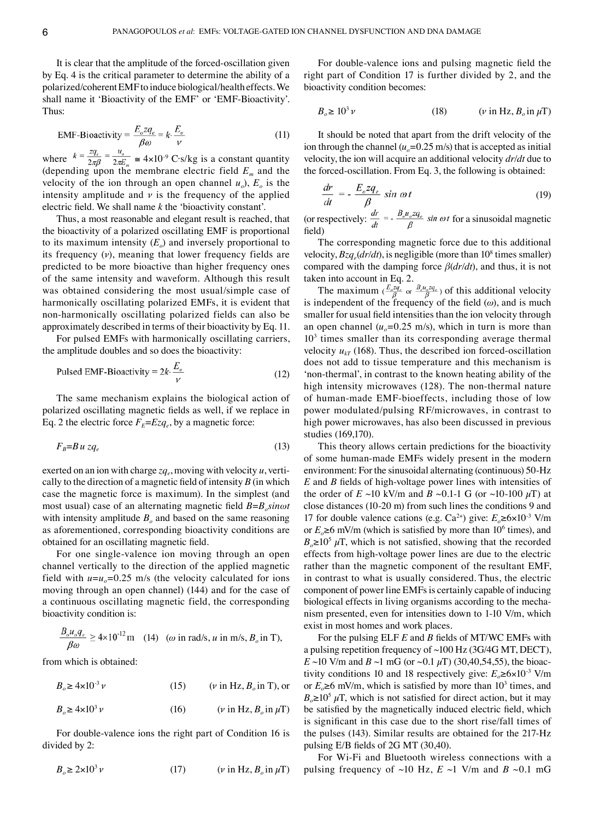It is clear that the amplitude of the forced-oscillation given by Eq. 4 is the critical parameter to determine the ability of a polarized/coherent EMF to induce biological/health effects. We shall name it 'Bioactivity of the EMF' or 'EMF‑Bioactivity'. Thus:

$$
EMF-Bioactivity = \frac{E_o z q_e}{\beta \omega} = k \cdot \frac{E_o}{\nu}
$$
 (11)

where  $k = \frac{z q_e}{2\pi \beta} = \frac{u_o}{2\pi E_m} \approx 4 \times 10^{-9} \text{ C} \cdot \text{s/kg}$  is a constant quantity (depending upon the membrane electric field *Em* and the velocity of the ion through an open channel  $u_0$ ,  $E_0$  is the intensity amplitude and  $\nu$  is the frequency of the applied electric field. We shall name *k* the 'bioactivity constant'.

Thus, a most reasonable and elegant result is reached, that the bioactivity of a polarized oscillating EMF is proportional to its maximum intensity  $(E_0)$  and inversely proportional to its frequency (*ν*), meaning that lower frequency fields are predicted to be more bioactive than higher frequency ones of the same intensity and waveform. Although this result was obtained considering the most usual/simple case of harmonically oscillating polarized EMFs, it is evident that non‑harmonically oscillating polarized fields can also be approximately described in terms of their bioactivity by Eq. 11.

For pulsed EMFs with harmonically oscillating carriers, the amplitude doubles and so does the bioactivity:

$$
Pulsed EMF-Bioactivity = 2k \cdot \frac{E_o}{V}
$$
 (12)

The same mechanism explains the biological action of polarized oscillating magnetic fields as well, if we replace in Eq. 2 the electric force  $F_E = E z q_e$ , by a magnetic force:

$$
F_B = Bu z q_e \tag{13}
$$

exerted on an ion with charge  $zq_e$ , moving with velocity  $u$ , vertically to the direction of a magnetic field of intensity *B* (in which case the magnetic force is maximum). In the simplest (and most usual) case of an alternating magnetic field  $B = B_n sin \omega t$ with intensity amplitude  $B<sub>o</sub>$  and based on the same reasoning as aforementioned, corresponding bioactivity conditions are obtained for an oscillating magnetic field.

For one single-valence ion moving through an open channel vertically to the direction of the applied magnetic field with  $u=u_0=0.25$  m/s (the velocity calculated for ions moving through an open channel) (144) and for the case of a continuous oscillating magnetic field, the corresponding bioactivity condition is:

$$
\frac{B_o u_o q_e}{\beta \omega} \ge 4 \times 10^{-12} \,\text{m} \quad (14) \quad (\omega \text{ in } \text{rad/s}, u \text{ in } \text{m/s}, B_o \text{ in } \text{T}),
$$

from which is obtained:

 $B_o \ge 4 \times 10^{-3} \nu$  (15) (*v* in Hz,  $B_o$  in T), or

$$
B_o \ge 4 \times 10^3 \nu \qquad (16) \qquad (\nu \text{ in Hz}, B_o \text{ in } \mu \text{T})
$$

For double-valence ions the right part of Condition 16 is divided by 2:

$$
B_o \ge 2 \times 10^3 \nu \qquad (17) \qquad (\nu \text{ in Hz}, B_o \text{ in } \mu \text{T})
$$

For double-valence ions and pulsing magnetic field the right part of Condition 17 is further divided by 2, and the bioactivity condition becomes:

$$
B_o \ge 10^3 \nu \qquad (18) \qquad (\nu \text{ in Hz}, B_o \text{ in } \mu \text{T})
$$

It should be noted that apart from the drift velocity of the ion through the channel  $(u_0=0.25 \text{ m/s})$  that is accepted as initial velocity, the ion will acquire an additional velocity *dr/dt* due to the forced-oscillation. From Eq. 3, the following is obtained:

$$
\frac{dr}{dt} = -\frac{E_o z q_e}{\beta} \sin \omega t \tag{19}
$$

(or respectively:  $\frac{dE}{dt} = -\frac{2\sigma^2 \sigma^2 T_c}{R} \sin \omega t$  for a sinusoidal magnetic field)

The corresponding magnetic force due to this additional velocity,  $Bzq_e(dr/dt)$ , is negligible (more than  $10^8$  times smaller) compared with the damping force *β*(*dr/dt*), and thus, it is not taken into account in Eq. 2.

The maximum  $(\frac{E_o 2q_e}{\beta}$  or  $\frac{E_o u_o 2q_e}{\beta})$  of this additional velocity is independent of the frequency of the field  $(\omega)$ , and is much smaller for usual field intensities than the ion velocity through an open channel  $(u_0=0.25 \text{ m/s})$ , which in turn is more than  $10<sup>3</sup>$  times smaller than its corresponding average thermal velocity  $u_{kT}$  (168). Thus, the described ion forced-oscillation does not add to tissue temperature and this mechanism is 'non‑thermal', in contrast to the known heating ability of the high intensity microwaves (128). The non-thermal nature of human‑made EMF‑bioeffects, including those of low power modulated/pulsing RF/microwaves, in contrast to high power microwaves, has also been discussed in previous studies (169,170).

This theory allows certain predictions for the bioactivity of some human‑made EMFs widely present in the modern environment: For the sinusoidal alternating (continuous) 50‑Hz *E* and *B* fields of high‑voltage power lines with intensities of the order of  $E \sim 10$  kV/m and  $B \sim 0.1$ -1 G (or  $\sim 10$ -100  $\mu$ T) at close distances (10‑20 m) from such lines the conditions 9 and 17 for double valence cations (e.g.  $Ca^{2+}$ ) give:  $E_a \ge 6 \times 10^{-3}$  V/m or  $E \ge 6$  mV/m (which is satisfied by more than 10<sup>6</sup> times), and  $B_0 \ge 10^5 \mu$ T, which is not satisfied, showing that the recorded effects from high‑voltage power lines are due to the electric rather than the magnetic component of the resultant EMF, in contrast to what is usually considered. Thus, the electric component of power line EMFs is certainly capable of inducing biological effects in living organisms according to the mechanism presented, even for intensities down to 1‑10 V/m, which exist in most homes and work places.

For the pulsing ELF *E* and *B* fields of MT/WC EMFs with a pulsing repetition frequency of ~100 Hz (3G/4G MT, DECT), *E* ~10 V/m and *B* ~1 mG (or ~0.1  $\mu$ T) (30,40,54,55), the bioactivity conditions 10 and 18 respectively give:  $E_o \ge 6 \times 10^{-3}$  V/m or  $E_0 \ge 6$  mV/m, which is satisfied by more than 10<sup>3</sup> times, and  $B_0 \ge 10^5 \mu$ T, which is not satisfied for direct action, but it may be satisfied by the magnetically induced electric field, which is significant in this case due to the short rise/fall times of the pulses (143). Similar results are obtained for the 217‑Hz pulsing E/B fields of 2G MT (30,40).

For Wi‑Fi and Bluetooth wireless connections with a pulsing frequency of  $\sim 10$  Hz,  $E \sim 1$  V/m and  $B \sim 0.1$  mG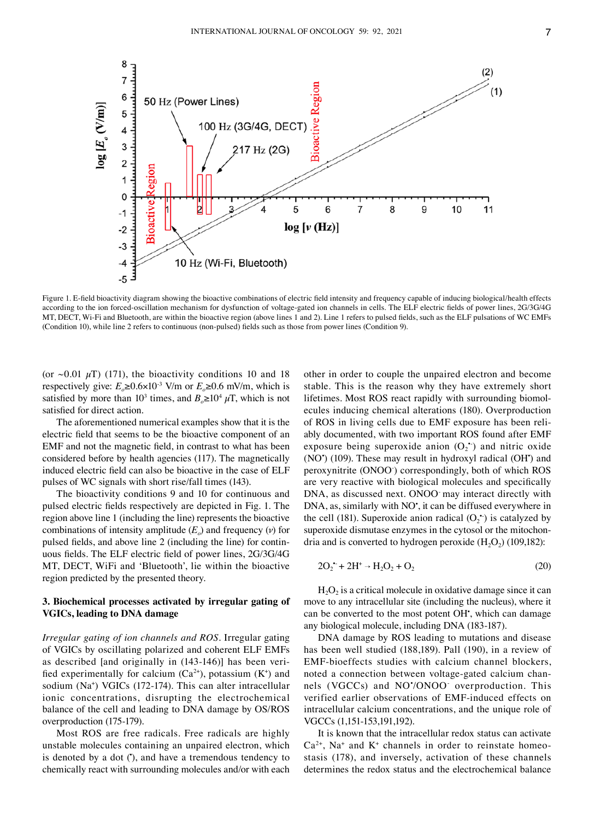

Figure 1. E-field bioactivity diagram showing the bioactive combinations of electric field intensity and frequency capable of inducing biological/health effects according to the ion forced‑oscillation mechanism for dysfunction of voltage‑gated ion channels in cells. The ELF electric fields of power lines, 2G/3G/4G MT, DECT, Wi‑Fi and Bluetooth, are within the bioactive region (above lines 1 and 2). Line 1 refers to pulsed fields, such as the ELF pulsations of WC EMFs (Condition 10), while line 2 refers to continuous (non‑pulsed) fields such as those from power lines (Condition 9).

(or  $\sim 0.01 \mu T$ ) (171), the bioactivity conditions 10 and 18 respectively give:  $E_0 \ge 0.6 \times 10^{-3}$  V/m or  $E_0 \ge 0.6$  mV/m, which is satisfied by more than 10<sup>3</sup> times, and  $B_0 \ge 10^4 \mu T$ , which is not satisfied for direct action.

The aforementioned numerical examples show that it is the electric field that seems to be the bioactive component of an EMF and not the magnetic field, in contrast to what has been considered before by health agencies (117). The magnetically induced electric field can also be bioactive in the case of ELF pulses of WC signals with short rise/fall times (143).

The bioactivity conditions 9 and 10 for continuous and pulsed electric fields respectively are depicted in Fig. 1. The region above line 1 (including the line) represents the bioactive combinations of intensity amplitude  $(E_0)$  and frequency  $(\nu)$  for pulsed fields, and above line 2 (including the line) for continuous fields. The ELF electric field of power lines, 2G/3G/4G MT, DECT, WiFi and 'Bluetooth', lie within the bioactive region predicted by the presented theory.

## **3. Biochemical processes activated by irregular gating of VGICs, leading to DNA damage**

*Irregular gating of ion channels and ROS.* Irregular gating of VGICs by oscillating polarized and coherent ELF EMFs as described [and originally in (143-146)] has been verified experimentally for calcium  $(Ca^{2+})$ , potassium  $(K^+)$  and sodium (Na<sup>+</sup> ) VGICs (172‑174). This can alter intracellular ionic concentrations, disrupting the electrochemical balance of the cell and leading to DNA damage by OS/ROS overproduction (175‑179).

Most ROS are free radicals. Free radicals are highly unstable molecules containing an unpaired electron, which is denoted by a dot ('), and have a tremendous tendency to chemically react with surrounding molecules and/or with each

other in order to couple the unpaired electron and become stable. This is the reason why they have extremely short lifetimes. Most ROS react rapidly with surrounding biomolecules inducing chemical alterations (180). Overproduction of ROS in living cells due to EMF exposure has been reliably documented, with two important ROS found after EMF exposure being superoxide anion  $(O_2^{\bullet})$  and nitric oxide (NO<sup>\*</sup>) (109). These may result in hydroxyl radical (OH<sup>\*</sup>) and peroxynitrite (ONOO‑ ) correspondingly, both of which ROS are very reactive with biological molecules and specifically DNA, as discussed next. ONOO may interact directly with DNA, as, similarly with NO', it can be diffused everywhere in the cell (181). Superoxide anion radical  $(O_2^{\bullet})$  is catalyzed by superoxide dismutase enzymes in the cytosol or the mitochondria and is converted to hydrogen peroxide  $(H<sub>2</sub>O<sub>2</sub>)$  (109,182):

$$
2O_2^{\bullet} + 2H^{\circ} \rightarrow H_2O_2 + O_2 \tag{20}
$$

 $H<sub>2</sub>O<sub>2</sub>$  is a critical molecule in oxidative damage since it can move to any intracellular site (including the nucleus), where it can be converted to the most potent OH<sup>\*</sup>, which can damage any biological molecule, including DNA (183‑187).

DNA damage by ROS leading to mutations and disease has been well studied (188,189). Pall (190), in a review of EMF‑bioeffects studies with calcium channel blockers, noted a connection between voltage-gated calcium channels (VGCCs) and NO• /ONOO‑ overproduction. This verified earlier observations of EMF‑induced effects on intracellular calcium concentrations, and the unique role of VGCCs (1,151‑153,191,192).

It is known that the intracellular redox status can activate  $Ca<sup>2+</sup>$ , Na<sup>+</sup> and K<sup>+</sup> channels in order to reinstate homeostasis (178), and inversely, activation of these channels determines the redox status and the electrochemical balance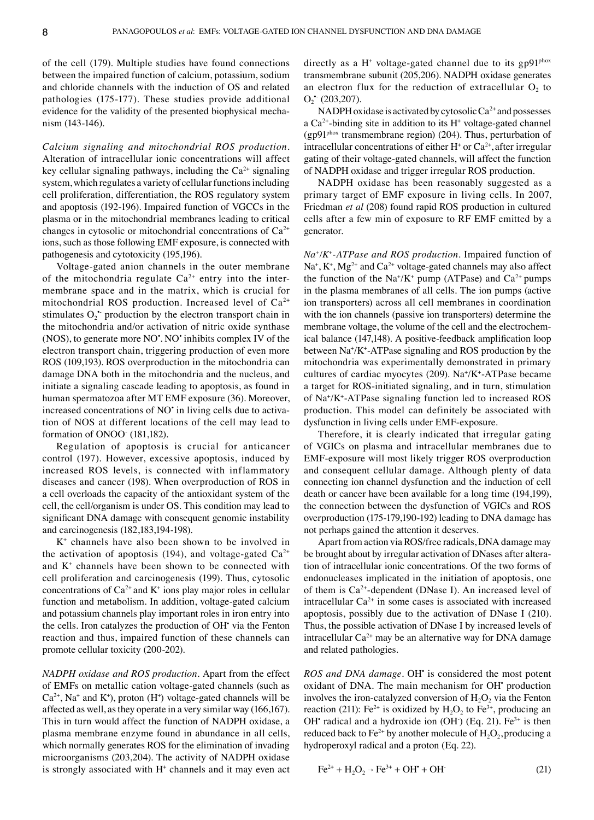of the cell (179). Multiple studies have found connections between the impaired function of calcium, potassium, sodium and chloride channels with the induction of OS and related pathologies (175‑177). These studies provide additional evidence for the validity of the presented biophysical mechanism (143‑146).

*Calcium signaling and mitochondrial ROS production.*  Alteration of intracellular ionic concentrations will affect key cellular signaling pathways, including the  $Ca^{2+}$  signaling system, which regulates a variety of cellular functions including cell proliferation, differentiation, the ROS regulatory system and apoptosis (192‑196). Impaired function of VGCCs in the plasma or in the mitochondrial membranes leading to critical changes in cytosolic or mitochondrial concentrations of  $Ca<sup>2+</sup>$ ions, such as those following EMF exposure, is connected with pathogenesis and cytotoxicity (195,196).

Voltage‑gated anion channels in the outer membrane of the mitochondria regulate  $Ca^{2+}$  entry into the intermembrane space and in the matrix, which is crucial for mitochondrial ROS production. Increased level of  $Ca^{2+}$ stimulates  $O_2$ <sup>\*</sup> production by the electron transport chain in the mitochondria and/or activation of nitric oxide synthase (NOS), to generate more NO<sup>•</sup>. NO<sup>•</sup> inhibits complex IV of the electron transport chain, triggering production of even more ROS (109,193). ROS overproduction in the mitochondria can damage DNA both in the mitochondria and the nucleus, and initiate a signaling cascade leading to apoptosis, as found in human spermatozoa after MT EMF exposure (36). Moreover, increased concentrations of NO<sup>•</sup> in living cells due to activation of NOS at different locations of the cell may lead to formation of ONOO‑ (181,182).

Regulation of apoptosis is crucial for anticancer control (197). However, excessive apoptosis, induced by increased ROS levels, is connected with inflammatory diseases and cancer (198). When overproduction of ROS in a cell overloads the capacity of the antioxidant system of the cell, the cell/organism is under OS. This condition may lead to significant DNA damage with consequent genomic instability and carcinogenesis (182,183,194‑198).

K+ channels have also been shown to be involved in the activation of apoptosis (194), and voltage-gated  $Ca^{2+}$ and  $K<sup>+</sup>$  channels have been shown to be connected with cell proliferation and carcinogenesis (199). Thus, cytosolic concentrations of  $Ca^{2+}$  and  $K^+$  ions play major roles in cellular function and metabolism. In addition, voltage-gated calcium and potassium channels play important roles in iron entry into the cells. Iron catalyzes the production of OH<sup>\*</sup> via the Fenton reaction and thus, impaired function of these channels can promote cellular toxicity (200‑202).

*NADPH oxidase and ROS production.* Apart from the effect of EMFs on metallic cation voltage‑gated channels (such as  $Ca<sup>2+</sup>$ , Na<sup>+</sup> and K<sup>+</sup>), proton (H<sup>+</sup>) voltage-gated channels will be affected as well, as they operate in a very similar way (166,167). This in turn would affect the function of NADPH oxidase, a plasma membrane enzyme found in abundance in all cells, which normally generates ROS for the elimination of invading microorganisms (203,204). The activity of NADPH oxidase is strongly associated with H<sup>+</sup> channels and it may even act

directly as a  $H^+$  voltage-gated channel due to its gp91<sup>phox</sup> transmembrane subunit (205,206). NADPH oxidase generates an electron flux for the reduction of extracellular  $O_2$  to  $O_2$  (203,207).

NADPH oxidase is activated by cytosolic  $Ca^{2+}$  and possesses a  $Ca<sup>2+</sup>$ -binding site in addition to its  $H<sup>+</sup>$  voltage-gated channel (gp91phox transmembrane region) (204). Thus, perturbation of intracellular concentrations of either  $H^+$  or  $Ca^{2+}$ , after irregular gating of their voltage‑gated channels, will affect the function of NADPH oxidase and trigger irregular ROS production.

NADPH oxidase has been reasonably suggested as a primary target of EMF exposure in living cells. In 2007, Friedman *et al* (208) found rapid ROS production in cultured cells after a few min of exposure to RF EMF emitted by a generator.

*Na+/K+‑ATPase and ROS production.* Impaired function of  $\text{Na}^+$ ,  $\text{K}^+$ ,  $\text{Mg}^{2+}$  and  $\text{Ca}^{2+}$  voltage-gated channels may also affect the function of the  $\text{Na}^{\text{+}}/\text{K}^{\text{+}}$  pump (ATPase) and  $\text{Ca}^{\text{2+}}$  pumps in the plasma membranes of all cells. The ion pumps (active ion transporters) across all cell membranes in coordination with the ion channels (passive ion transporters) determine the membrane voltage, the volume of the cell and the electrochemical balance (147,148). A positive-feedback amplification loop between Na<sup>+</sup>/K<sup>+</sup>-ATPase signaling and ROS production by the mitochondria was experimentally demonstrated in primary cultures of cardiac myocytes (209). Na<sup>+</sup> /K<sup>+</sup>‑ATPase became a target for ROS‑initiated signaling, and in turn, stimulation of Na+ /K<sup>+</sup>‑ATPase signaling function led to increased ROS production. This model can definitely be associated with dysfunction in living cells under EMF‑exposure.

Therefore, it is clearly indicated that irregular gating of VGICs on plasma and intracellular membranes due to EMF‑exposure will most likely trigger ROS overproduction and consequent cellular damage. Although plenty of data connecting ion channel dysfunction and the induction of cell death or cancer have been available for a long time (194,199), the connection between the dysfunction of VGICs and ROS overproduction (175‑179,190‑192) leading to DNA damage has not perhaps gained the attention it deserves.

Apart from action via ROS/free radicals, DNA damage may be brought about by irregular activation of DNases after alteration of intracellular ionic concentrations. Of the two forms of endonucleases implicated in the initiation of apoptosis, one of them is Ca2+‑dependent (DNase I). An increased level of intracellular Ca<sup>2+</sup> in some cases is associated with increased apoptosis, possibly due to the activation of DNase I (210). Thus, the possible activation of DNase I by increased levels of intracellular  $Ca^{2+}$  may be an alternative way for DNA damage and related pathologies.

*ROS and DNA damage.* OH• is considered the most potent oxidant of DNA. The main mechanism for OH<sup>+</sup> production involves the iron-catalyzed conversion of  $H_2O_2$  via the Fenton reaction (211): Fe<sup>2+</sup> is oxidized by  $H_2O_2$  to Fe<sup>3+</sup>, producing an OH<sup>•</sup> radical and a hydroxide ion (OH $)$  (Eq. 21). Fe<sup>3+</sup> is then reduced back to Fe<sup>2+</sup> by another molecule of  $H_2O_2$ , producing a hydroperoxyl radical and a proton (Eq. 22).

$$
Fe^{2+} + H_2O_2 \rightarrow Fe^{3+} + OH^* + OH^*
$$
 (21)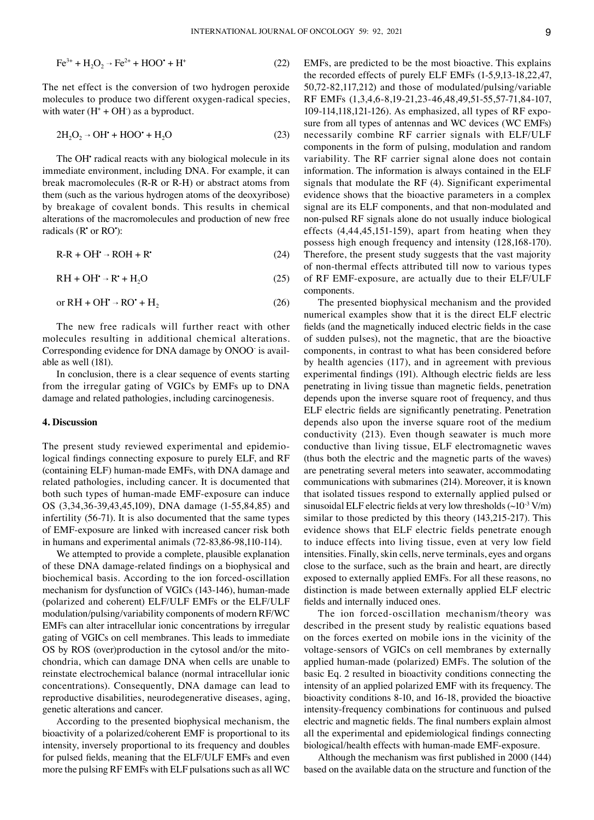$$
Fe^{3+} + H_2O_2 \rightarrow Fe^{2+} + HOO^{\bullet} + H^+ \tag{22}
$$

The net effect is the conversion of two hydrogen peroxide molecules to produce two different oxygen-radical species, with water  $(H^* + OH^*)$  as a byproduct.

$$
2H_2O_2 \rightarrow OH^* + HOO^* + H_2O \tag{23}
$$

The OH radical reacts with any biological molecule in its immediate environment, including DNA. For example, it can break macromolecules (R‑R or R‑H) or abstract atoms from them (such as the various hydrogen atoms of the deoxyribose) by breakage of covalent bonds. This results in chemical alterations of the macromolecules and production of new free radicals (R<sup>•</sup> or RO•):

$$
R-R + OH^* \rightarrow ROH + R^* \tag{24}
$$

$$
RH + OH^{\bullet} \rightarrow R^{\bullet} + H_2O \tag{25}
$$

$$
or RH + OH^{\bullet} \rightarrow RO^{\bullet} + H_2 \tag{26}
$$

The new free radicals will further react with other molecules resulting in additional chemical alterations. Corresponding evidence for DNA damage by ONOO‑ is avail‑ able as well (181).

In conclusion, there is a clear sequence of events starting from the irregular gating of VGICs by EMFs up to DNA damage and related pathologies, including carcinogenesis.

## **4. Discussion**

The present study reviewed experimental and epidemiological findings connecting exposure to purely ELF, and RF (containing ELF) human‑made EMFs, with DNA damage and related pathologies, including cancer. It is documented that both such types of human‑made EMF‑exposure can induce OS (3,34,36‑39,43,45,109), DNA damage (1‑55,84,85) and infertility (56‑71). It is also documented that the same types of EMF‑exposure are linked with increased cancer risk both in humans and experimental animals (72‑83,86‑98,110‑114).

We attempted to provide a complete, plausible explanation of these DNA damage‑related findings on a biophysical and biochemical basis. According to the ion forced‑oscillation mechanism for dysfunction of VGICs (143-146), human-made (polarized and coherent) ELF/ULF EMFs or the ELF/ULF modulation/pulsing/variability components of modern RF/WC EMFs can alter intracellular ionic concentrations by irregular gating of VGICs on cell membranes. This leads to immediate OS by ROS (over)production in the cytosol and/or the mitochondria, which can damage DNA when cells are unable to reinstate electrochemical balance (normal intracellular ionic concentrations). Consequently, DNA damage can lead to reproductive disabilities, neurodegenerative diseases, aging, genetic alterations and cancer.

According to the presented biophysical mechanism, the bioactivity of a polarized/coherent EMF is proportional to its intensity, inversely proportional to its frequency and doubles for pulsed fields, meaning that the ELF/ULF EMFs and even more the pulsing RF EMFs with ELF pulsations such as all WC EMFs, are predicted to be the most bioactive. This explains the recorded effects of purely ELF EMFs (1‑5,9,13‑18,22,47, 50,72‑82,117,212) and those of modulated/pulsing/variable RF EMFs (1,3,4,6‑8,19‑21,23‑46,48,49,51‑55,57‑71,84‑107,  $109-114,118,121-126$ . As emphasized, all types of RF exposure from all types of antennas and WC devices (WC EMFs) necessarily combine RF carrier signals with ELF/ULF components in the form of pulsing, modulation and random variability. The RF carrier signal alone does not contain information. The information is always contained in the ELF signals that modulate the RF (4). Significant experimental evidence shows that the bioactive parameters in a complex signal are its ELF components, and that non‑modulated and non‑pulsed RF signals alone do not usually induce biological effects (4,44,45,151‑159), apart from heating when they possess high enough frequency and intensity (128,168‑170). Therefore, the present study suggests that the vast majority of non‑thermal effects attributed till now to various types of RF EMF‑exposure, are actually due to their ELF/ULF components.

The presented biophysical mechanism and the provided numerical examples show that it is the direct ELF electric fields (and the magnetically induced electric fields in the case of sudden pulses), not the magnetic, that are the bioactive components, in contrast to what has been considered before by health agencies (117), and in agreement with previous experimental findings (191). Although electric fields are less penetrating in living tissue than magnetic fields, penetration depends upon the inverse square root of frequency, and thus ELF electric fields are significantly penetrating. Penetration depends also upon the inverse square root of the medium conductivity (213). Even though seawater is much more conductive than living tissue, ELF electromagnetic waves (thus both the electric and the magnetic parts of the waves) are penetrating several meters into seawater, accommodating communications with submarines (214). Moreover, it is known that isolated tissues respond to externally applied pulsed or sinusoidal ELF electric fields at very low thresholds  $(\sim 10^{-3} \text{ V/m})$ similar to those predicted by this theory (143,215-217). This evidence shows that ELF electric fields penetrate enough to induce effects into living tissue, even at very low field intensities. Finally, skin cells, nerve terminals, eyes and organs close to the surface, such as the brain and heart, are directly exposed to externally applied EMFs. For all these reasons, no distinction is made between externally applied ELF electric fields and internally induced ones.

The ion forced-oscillation mechanism/theory was described in the present study by realistic equations based on the forces exerted on mobile ions in the vicinity of the voltage‑sensors of VGICs on cell membranes by externally applied human‑made (polarized) EMFs. The solution of the basic Eq. 2 resulted in bioactivity conditions connecting the intensity of an applied polarized EMF with its frequency. The bioactivity conditions 8‑10, and 16‑18, provided the bioactive intensity‑frequency combinations for continuous and pulsed electric and magnetic fields. The final numbers explain almost all the experimental and epidemiological findings connecting biological/health effects with human‑made EMF‑exposure.

Although the mechanism was first published in 2000 (144) based on the available data on the structure and function of the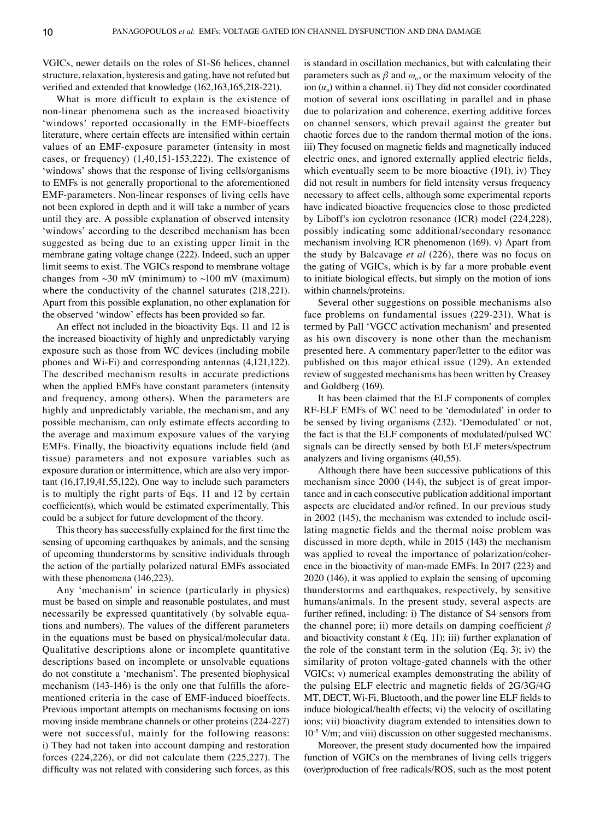VGICs, newer details on the roles of S1‑S6 helices, channel structure, relaxation, hysteresis and gating, have not refuted but verified and extended that knowledge (162,163,165,218-221).

What is more difficult to explain is the existence of non‑linear phenomena such as the increased bioactivity 'windows' reported occasionally in the EMF-bioeffects literature, where certain effects are intensified within certain values of an EMF‑exposure parameter (intensity in most cases, or frequency) (1,40,151‑153,222). The existence of 'windows' shows that the response of living cells/organisms to EMFs is not generally proportional to the aforementioned EMF‑parameters. Non‑linear responses of living cells have not been explored in depth and it will take a number of years until they are. A possible explanation of observed intensity 'windows' according to the described mechanism has been suggested as being due to an existing upper limit in the membrane gating voltage change (222). Indeed, such an upper limit seems to exist. The VGICs respond to membrane voltage changes from  $\sim$ 30 mV (minimum) to  $\sim$ 100 mV (maximum) where the conductivity of the channel saturates (218,221). Apart from this possible explanation, no other explanation for the observed 'window' effects has been provided so far.

An effect not included in the bioactivity Eqs. 11 and 12 is the increased bioactivity of highly and unpredictably varying exposure such as those from WC devices (including mobile phones and Wi‑Fi) and corresponding antennas (4,121,122). The described mechanism results in accurate predictions when the applied EMFs have constant parameters (intensity and frequency, among others). When the parameters are highly and unpredictably variable, the mechanism, and any possible mechanism, can only estimate effects according to the average and maximum exposure values of the varying EMFs. Finally, the bioactivity equations include field (and tissue) parameters and not exposure variables such as exposure duration or intermittence, which are also very important (16,17,19,41,55,122). One way to include such parameters is to multiply the right parts of Eqs. 11 and 12 by certain coefficient(s), which would be estimated experimentally. This could be a subject for future development of the theory.

This theory has successfully explained for the first time the sensing of upcoming earthquakes by animals, and the sensing of upcoming thunderstorms by sensitive individuals through the action of the partially polarized natural EMFs associated with these phenomena (146,223).

Any 'mechanism' in science (particularly in physics) must be based on simple and reasonable postulates, and must necessarily be expressed quantitatively (by solvable equations and numbers). The values of the different parameters in the equations must be based on physical/molecular data. Qualitative descriptions alone or incomplete quantitative descriptions based on incomplete or unsolvable equations do not constitute a 'mechanism'. The presented biophysical mechanism (143-146) is the only one that fulfills the aforementioned criteria in the case of EMF‑induced bioeffects. Previous important attempts on mechanisms focusing on ions moving inside membrane channels or other proteins (224‑227) were not successful, mainly for the following reasons: i) They had not taken into account damping and restoration forces (224,226), or did not calculate them (225,227). The difficulty was not related with considering such forces, as this is standard in oscillation mechanics, but with calculating their parameters such as  $\beta$  and  $\omega_0$ , or the maximum velocity of the ion  $(u_0)$  within a channel. ii) They did not consider coordinated motion of several ions oscillating in parallel and in phase due to polarization and coherence, exerting additive forces on channel sensors, which prevail against the greater but chaotic forces due to the random thermal motion of the ions. iii) They focused on magnetic fields and magnetically induced electric ones, and ignored externally applied electric fields, which eventually seem to be more bioactive (191). iv) They did not result in numbers for field intensity versus frequency necessary to affect cells, although some experimental reports have indicated bioactive frequencies close to those predicted by Liboff's ion cyclotron resonance (ICR) model (224,228), possibly indicating some additional/secondary resonance mechanism involving ICR phenomenon (169). v) Apart from the study by Balcavage *et al* (226), there was no focus on the gating of VGICs, which is by far a more probable event to initiate biological effects, but simply on the motion of ions within channels/proteins.

Several other suggestions on possible mechanisms also face problems on fundamental issues (229-231). What is termed by Pall 'VGCC activation mechanism' and presented as his own discovery is none other than the mechanism presented here. A commentary paper/letter to the editor was published on this major ethical issue (129). An extended review of suggested mechanisms has been written by Creasey and Goldberg (169).

It has been claimed that the ELF components of complex RF‑ELF EMFs of WC need to be 'demodulated' in order to be sensed by living organisms (232). 'Demodulated' or not, the fact is that the ELF components of modulated/pulsed WC signals can be directly sensed by both ELF meters/spectrum analyzers and living organisms (40,55).

Although there have been successive publications of this mechanism since 2000 (144), the subject is of great importance and in each consecutive publication additional important aspects are elucidated and/or refined. In our previous study in 2002 (145), the mechanism was extended to include oscillating magnetic fields and the thermal noise problem was discussed in more depth, while in 2015 (143) the mechanism was applied to reveal the importance of polarization/coherence in the bioactivity of man-made EMFs. In 2017 (223) and 2020 (146), it was applied to explain the sensing of upcoming thunderstorms and earthquakes, respectively, by sensitive humans/animals. In the present study, several aspects are further refined, including: i) The distance of S4 sensors from the channel pore; ii) more details on damping coefficient *β* and bioactivity constant  $k$  (Eq. 11); iii) further explanation of the role of the constant term in the solution (Eq. 3); iv) the similarity of proton voltage‑gated channels with the other VGICs; v) numerical examples demonstrating the ability of the pulsing ELF electric and magnetic fields of 2G/3G/4G MT, DECT, Wi‑Fi, Bluetooth, and the power line ELF fields to induce biological/health effects; vi) the velocity of oscillating ions; vii) bioactivity diagram extended to intensities down to  $10<sup>-5</sup>$  V/m; and viii) discussion on other suggested mechanisms.

Moreover, the present study documented how the impaired function of VGICs on the membranes of living cells triggers (over)production of free radicals/ROS, such as the most potent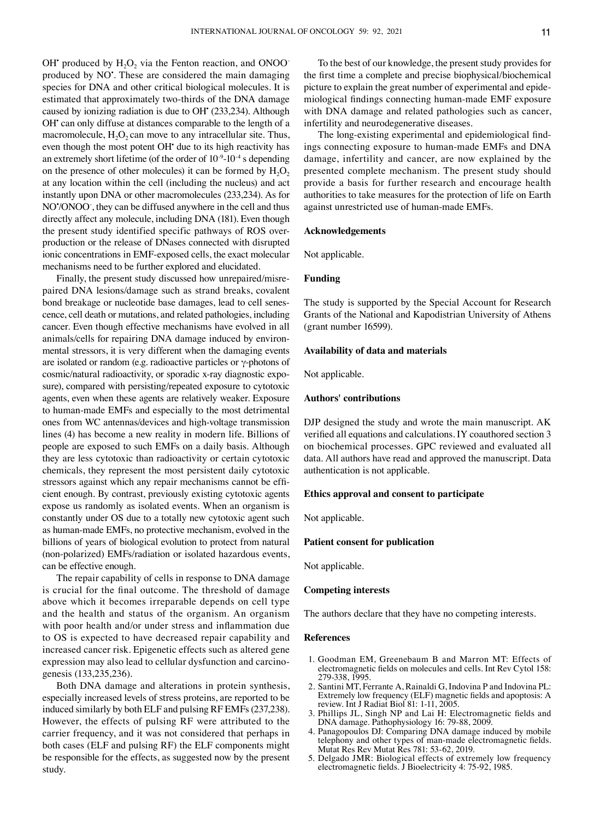OH produced by  $H_2O_2$  via the Fenton reaction, and ONOO produced by NO<sup>•</sup>. These are considered the main damaging species for DNA and other critical biological molecules. It is estimated that approximately two-thirds of the DNA damage caused by ionizing radiation is due to OH• (233,234). Although OH<sup>•</sup> can only diffuse at distances comparable to the length of a macromolecule,  $H_2O_2$  can move to any intracellular site. Thus, even though the most potent OH<sup>\*</sup> due to its high reactivity has an extremely short lifetime (of the order of  $10^{-9}$ – $10^{-4}$  s depending on the presence of other molecules) it can be formed by  $H_2O_2$ at any location within the cell (including the nucleus) and act instantly upon DNA or other macromolecules (233,234). As for NO• /ONOO‑ , they can be diffused anywhere in the cell and thus directly affect any molecule, including DNA (181). Even though the present study identified specific pathways of ROS overproduction or the release of DNases connected with disrupted ionic concentrations in EMF‑exposed cells, the exact molecular mechanisms need to be further explored and elucidated.

Finally, the present study discussed how unrepaired/misrepaired DNA lesions/damage such as strand breaks, covalent bond breakage or nucleotide base damages, lead to cell senescence, cell death or mutations, and related pathologies, including cancer. Even though effective mechanisms have evolved in all animals/cells for repairing DNA damage induced by environmental stressors, it is very different when the damaging events are isolated or random (e.g. radioactive particles or  $\gamma$ -photons of cosmic/natural radioactivity, or sporadic x-ray diagnostic exposure), compared with persisting/repeated exposure to cytotoxic agents, even when these agents are relatively weaker. Exposure to human‑made EMFs and especially to the most detrimental ones from WC antennas/devices and high-voltage transmission lines (4) has become a new reality in modern life. Billions of people are exposed to such EMFs on a daily basis. Although they are less cytotoxic than radioactivity or certain cytotoxic chemicals, they represent the most persistent daily cytotoxic stressors against which any repair mechanisms cannot be efficient enough. By contrast, previously existing cytotoxic agents expose us randomly as isolated events. When an organism is constantly under OS due to a totally new cytotoxic agent such as human‑made EMFs, no protective mechanism, evolved in the billions of years of biological evolution to protect from natural (non‑polarized) EMFs/radiation or isolated hazardous events, can be effective enough.

The repair capability of cells in response to DNA damage is crucial for the final outcome. The threshold of damage above which it becomes irreparable depends on cell type and the health and status of the organism. An organism with poor health and/or under stress and inflammation due to OS is expected to have decreased repair capability and increased cancer risk. Epigenetic effects such as altered gene expression may also lead to cellular dysfunction and carcinogenesis (133,235,236).

Both DNA damage and alterations in protein synthesis, especially increased levels of stress proteins, are reported to be induced similarly by both ELF and pulsing RF EMFs(237,238). However, the effects of pulsing RF were attributed to the carrier frequency, and it was not considered that perhaps in both cases (ELF and pulsing RF) the ELF components might be responsible for the effects, as suggested now by the present study.

To the best of our knowledge, the present study provides for the first time a complete and precise biophysical/biochemical picture to explain the great number of experimental and epidemiological findings connecting human‑made EMF exposure with DNA damage and related pathologies such as cancer, infertility and neurodegenerative diseases.

The long-existing experimental and epidemiological findings connecting exposure to human‑made EMFs and DNA damage, infertility and cancer, are now explained by the presented complete mechanism. The present study should provide a basis for further research and encourage health authorities to take measures for the protection of life on Earth against unrestricted use of human‑made EMFs.

#### **Acknowledgements**

Not applicable.

## **Funding**

The study is supported by the Special Account for Research Grants of the National and Kapodistrian University of Athens (grant number 16599).

## **Availability of data and materials**

Not applicable.

## **Authors' contributions**

DJP designed the study and wrote the main manuscript. AK verified all equations and calculations. IY coauthored section 3 on biochemical processes. GPC reviewed and evaluated all data. All authors have read and approved the manuscript. Data authentication is not applicable.

## **Ethics approval and consent to participate**

Not applicable.

## **Patient consent for publication**

Not applicable.

## **Competing interests**

The authors declare that they have no competing interests.

#### **References**

- 1. Goodman EM, Greenebaum B and Marron MT: Effects of electromagnetic fields on molecules and cells. Int Rev Cytol 158: 279‑338, 1995.
- 2. Santini MT, Ferrante A, Rainaldi G, Indovina P and Indovina PL: Extremely low frequency (ELF) magnetic fields and apoptosis: A review. Int J Radiat Biol 81: 1‑11, 2005.
- 3. Phillips JL, Singh NP and Lai H: Electromagnetic fields and DNA damage. Pathophysiology 16: 79‑88, 2009.
- 4. Panagopoulos DJ: Comparing DNA damage induced by mobile telephony and other types of man-made electromagnetic fields. Mutat Res Rev Mutat Res 781: 53‑62, 2019.
- 5. Delgado JMR: Biological effects of extremely low frequency electromagnetic fields. J Bioelectricity 4: 75‑92, 1985.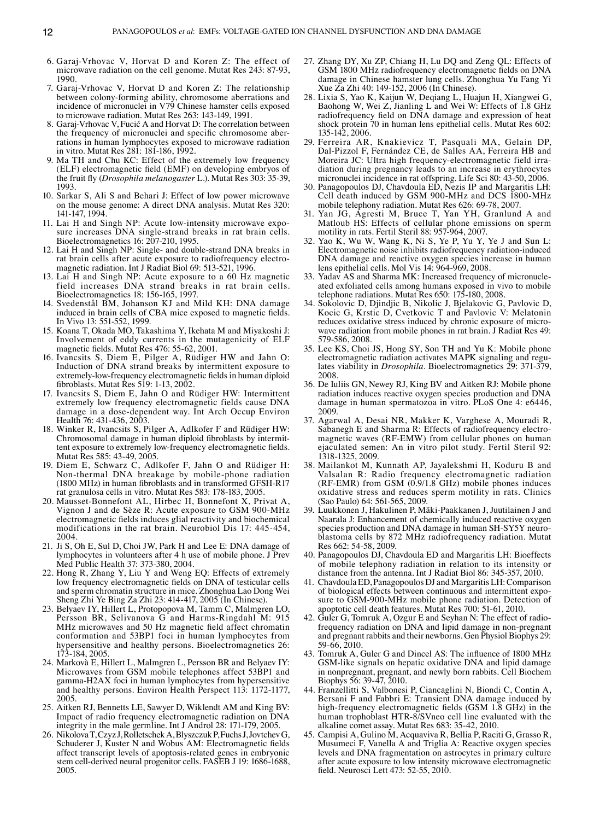- 6. Garaj‑Vrhovac V, Horvat D and Koren Z: The effect of microwave radiation on the cell genome. Mutat Res 243: 87‑93, 1990.
- 7. Garaj‑Vrhovac V, Horvat D and Koren Z: The relationship between colony‑forming ability, chromosome aberrations and incidence of micronuclei in V79 Chinese hamster cells exposed to microwave radiation. Mutat Res 263: 143‑149, 1991.
- 8. Garaj‑Vrhovac V, Fucić A and Horvat D: The correlation between the frequency of micronuclei and specific chromosome aberrations in human lymphocytes exposed to microwave radiation in vitro. Mutat Res 281: 181‑186, 1992.
- 9. Ma TH and Chu KC: Effect of the extremely low frequency (ELF) electromagnetic field (EMF) on developing embryos of the fruit fly (*Drosophila melanogaster* L.). Mutat Res 303: 35‑39, 1993.
- 10. Sarkar S, Ali S and Behari J: Effect of low power microwave on the mouse genome: A direct DNA analysis. Mutat Res 320: 141‑147, 1994.
- 11. Lai H and Singh NP: Acute low-intensity microwave exposure increases DNA single-strand breaks in rat brain cells. Bioelectromagnetics 16: 207‑210, 1995.
- 12. Lai H and Singh NP: Single‑ and double‑strand DNA breaks in rat brain cells after acute exposure to radiofrequency electromagnetic radiation. Int J Radiat Biol 69: 513-521, 1996.
- 13. Lai H and Singh NP: Acute exposure to a 60 Hz magnetic field increases DNA strand breaks in rat brain cells. Bioelectromagnetics 18: 156‑165, 1997.
- 14. Svedenstål BM, Johanson KJ and Mild KH: DNA damage induced in brain cells of CBA mice exposed to magnetic fields. In Vivo 13: 551‑552, 1999.
- 15. Koana T, Okada MO, Takashima Y, Ikehata M and Miyakoshi J: Involvement of eddy currents in the mutagenicity of ELF magnetic fields. Mutat Res 476: 55‑62, 2001.
- 16. Ivancsits S, Diem E, Pilger A, Rüdiger HW and Jahn O: Induction of DNA strand breaks by intermittent exposure to extremely‑low‑frequency electromagnetic fields in human diploid fibroblasts. Mutat Res 519: 1‑13, 2002.
- 17. Ivancsits S, Diem E, Jahn O and Rüdiger HW: Intermittent extremely low frequency electromagnetic fields cause DNA damage in a dose‑dependent way. Int Arch Occup Environ Health 76: 431‑436, 2003.
- 18. Winker R, Ivancsits S, Pilger A, Adlkofer F and Rüdiger HW: Chromosomal damage in human diploid fibroblasts by intermit‑ tent exposure to extremely low‑frequency electromagnetic fields. Mutat Res 585: 43‑49, 2005.
- 19. Diem E, Schwarz C, Adlkofer F, Jahn O and Rüdiger H: Non‑thermal DNA breakage by mobile‑phone radiation (1800 MHz) in human fibroblasts and in transformed GFSH‑R17 rat granulosa cells in vitro. Mutat Res 583: 178‑183, 2005.
- 20. Mausset‑Bonnefont AL, Hirbec H, Bonnefont X, Privat A, Vignon J and de Sèze R: Acute exposure to GSM 900‑MHz electromagnetic fields induces glial reactivity and biochemical modifications in the rat brain. Neurobiol Dis 17: 445‑454, 2004.
- 21. Ji S, Oh E, Sul D, Choi JW, Park H and Lee E: DNA damage of lymphocytes in volunteers after 4 h use of mobile phone. J Prev Med Public Health 37: 373‑380, 2004.
- 22. Hong R, Zhang Y, Liu Y and Weng EQ: Effects of extremely low frequency electromagnetic fields on DNA of testicular cells and sperm chromatin structure in mice. Zhonghua Lao Dong Wei Sheng Zhi Ye Bing Za Zhi 23: 414‑417, 2005 (In Chinese).
- 23. Belyaev IY, Hillert L, Protopopova M, Tamm C, Malmgren LO, Persson BR, Selivanova G and Harms‑Ringdahl M: 915 MHz microwaves and 50 Hz magnetic field affect chromatin conformation and 53BP1 foci in human lymphocytes from hypersensitive and healthy persons. Bioelectromagnetics 26: 173‑184, 2005.
- 24. Markovà E, Hillert L, Malmgren L, Persson BR and Belyaev IY: Microwaves from GSM mobile telephones affect 53BP1 and gamma‑H2AX foci in human lymphocytes from hypersensitive and healthy persons. Environ Health Perspect 113: 1172‑1177, 2005.
- 25. Aitken RJ, Bennetts LE, Sawyer D, Wiklendt AM and King BV: Impact of radio frequency electromagnetic radiation on DNA integrity in the male germline. Int J Androl 28: 171‑179, 2005.
- 26. NikolovaT, Czyz J, RolletschekA, BlyszczukP, FuchsJ, JovtchevG, Schuderer J, Kuster N and Wobus AM: Electromagnetic fields affect transcript levels of apoptosis‑related genes in embryonic stem cell-derived neural progenitor cells. FASEB J 19: 1686-1688, 2005.
- 27. Zhang DY, Xu ZP, Chiang H, Lu DQ and Zeng QL: Effects of GSM 1800 MHz radiofrequency electromagnetic fields on DNA damage in Chinese hamster lung cells. Zhonghua Yu Fang Yi Xue Za Zhi 40: 149‑152, 2006 (In Chinese).
- 28. Lixia S, Yao K, Kaijun W, Deqiang L, Huajun H, Xiangwei G, Baohong W, Wei Z, Jianling L and Wei W: Effects of 1.8 GHz radiofrequency field on DNA damage and expression of heat shock protein 70 in human lens epithelial cells. Mutat Res 602: 135‑142, 2006.
- 29. Ferreira AR, Knakievicz T, Pasquali MA, Gelain DP, Dal‑Pizzol F, Fernández CE, de Salles AA, Ferreira HB and Moreira JC: Ultra high frequency-electromagnetic field irradiation during pregnancy leads to an increase in erythrocytes micronuclei incidence in rat offspring. Life Sci 80: 43‑50, 2006.
- 30. Panagopoulos DJ, Chavdoula ED, Nezis IP and Margaritis LH: Cell death induced by GSM 900‑MHz and DCS 1800‑MHz mobile telephony radiation. Mutat Res 626: 69‑78, 2007.
- 31. Yan JG, Agresti M, Bruce T, Yan YH, Granlund A and Matloub HS: Effects of cellular phone emissions on sperm motility in rats. Fertil Steril 88: 957‑964, 2007.
- 32. Yao K, Wu W, Wang K, Ni S, Ye P, Yu Y, Ye J and Sun L: Electromagnetic noise inhibits radiofrequency radiation‑induced DNA damage and reactive oxygen species increase in human lens epithelial cells. Mol Vis 14: 964-969, 2008.
- 33. Yadav AS and Sharma MK: Increased frequency of micronucleated exfoliated cells among humans exposed in vivo to mobile telephone radiations. Mutat Res 650: 175‑180, 2008.
- 34. Sokolovic D, Djindjic B, Nikolic J, Bjelakovic G, Pavlovic D, Kocic G, Krstic D, Cvetkovic T and Pavlovic V: Melatonin reduces oxidative stress induced by chronic exposure of microwave radiation from mobile phones in rat brain. J Radiat Res 49: 579‑586, 2008.
- 35. Lee KS, Choi JS, Hong SY, Son TH and Yu K: Mobile phone electromagnetic radiation activates MAPK signaling and regulates viability in *Drosophila*. Bioelectromagnetics 29: 371‑379, 2008.
- 36. De Iuliis GN, Newey RJ, King BV and Aitken RJ: Mobile phone radiation induces reactive oxygen species production and DNA damage in human spermatozoa in vitro. PLoS One 4: e6446, 2009.
- 37. Agarwal A, Desai NR, Makker K, Varghese A, Mouradi R, Sabanegh E and Sharma R: Effects of radiofrequency electromagnetic waves (RF‑EMW) from cellular phones on human ejaculated semen: An in vitro pilot study. Fertil Steril 92: 1318‑1325, 2009.
- 38. Mailankot M, Kunnath AP, Jayalekshmi H, Koduru B and Valsalan R: Radio frequency electromagnetic radiation (RF‑EMR) from GSM (0.9/1.8 GHz) mobile phones induces oxidative stress and reduces sperm motility in rats. Clinics (Sao Paulo) 64: 561‑565, 2009.
- 39. Luukkonen J, Hakulinen P, Mäki‑Paakkanen J, Juutilainen J and Naarala J: Enhancement of chemically induced reactive oxygen species production and DNA damage in human SH-SY5Y neuroblastoma cells by 872 MHz radiofrequency radiation. Mutat Res 662: 54‑58, 2009.
- 40. Panagopoulos DJ, Chavdoula ED and Margaritis LH: Bioeffects of mobile telephony radiation in relation to its intensity or distance from the antenna. Int J Radiat Biol 86: 345‑357, 2010.
- 41. Chavdoula ED, Panagopoulos DJ and Margaritis LH: Comparison of biological effects between continuous and intermittent expo‑ sure to GSM‑900‑MHz mobile phone radiation. Detection of apoptotic cell death features. Mutat Res 700: 51-61, 2010.<br>42. Guler G, Tomruk A, Ozgur E and Seyhan N: The effect of radio-
- frequency radiation on DNA and lipid damage in non-pregnant and pregnant rabbits and their newborns. Gen Physiol Biophys 29: 59‑66, 2010.
- 43. Tomruk A, Guler G and Dincel AS: The influence of 1800 MHz GSM-like signals on hepatic oxidative DNA and lipid damage in nonpregnant, pregnant, and newly born rabbits. Cell Biochem Biophys 56: 39‑47, 2010.
- 44. Franzellitti S, Valbonesi P, Ciancaglini N, Biondi C, Contin A, Bersani F and Fabbri E: Transient DNA damage induced by high-frequency electromagnetic fields (GSM 1.8 GHz) in the human trophoblast HTR‑8/SVneo cell line evaluated with the alkaline comet assay. Mutat Res 683: 35‑42, 2010.
- 45. Campisi A, Gulino M, Acquaviva R, Bellia P, Raciti G, Grasso R, Musumeci F, Vanella A and Triglia A: Reactive oxygen species levels and DNA fragmentation on astrocytes in primary culture after acute exposure to low intensity microwave electromagnetic field. Neurosci Lett 473: 52‑55, 2010.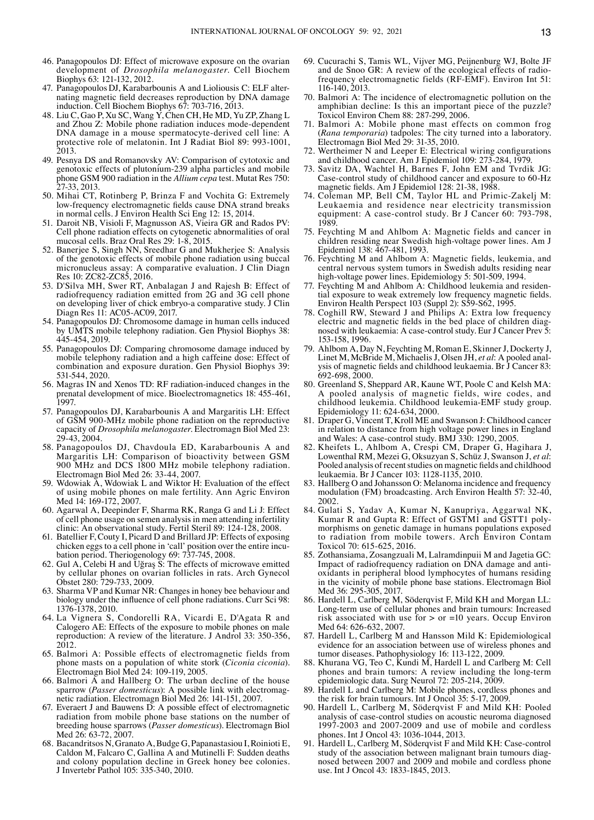- 46. Panagopoulos DJ: Effect of microwave exposure on the ovarian development of *Drosophila melanogaster*. Cell Biochem Biophys 63: 121‑132, 2012.
- 47. Panagopoulos DJ, Karabarbounis A and Lioliousis C: ELF alter‑ nating magnetic field decreases reproduction by DNA damage induction. Cell Biochem Biophys 67: 703-716, 2013.
- 48. Liu C, Gao P, Xu SC, Wang Y, Chen CH, He MD, Yu ZP, Zhang L and Zhou Z: Mobile phone radiation induces mode‑dependent DNA damage in a mouse spermatocyte‑derived cell line: A protective role of melatonin. Int J Radiat Biol 89: 993‑1001, 2013.
- 49. Pesnya DS and Romanovsky AV: Comparison of cytotoxic and genotoxic effects of plutonium‑239 alpha particles and mobile phone GSM 900 radiation in the *Allium cepa* test. Mutat Res 750: 27‑33, 2013.
- 50. Mihai CT, Rotinberg P, Brinza F and Vochita G: Extremely low‑frequency electromagnetic fields cause DNA strand breaks in normal cells. J Environ Health Sci Eng 12: 15, 2014.
- 51. Daroit NB, Visioli F, Magnusson AS, Vieira GR and Rados PV: Cell phone radiation effects on cytogenetic abnormalities of oral mucosal cells. Braz Oral Res 29: 1‑8, 2015.
- 52. Banerjee S, Singh NN, Sreedhar G and Mukherjee S: Analysis of the genotoxic effects of mobile phone radiation using buccal micronucleus assay: A comparative evaluation. J Clin Diagn Res 10: ZC82‑ZC85, 2016.
- 53. D'Silva MH, Swer RT, Anbalagan J and Rajesh B: Effect of radiofrequency radiation emitted from 2G and 3G cell phone on developing liver of chick embryo‑a comparative study. J Clin Diagn Res 11: AC05‑AC09, 2017.
- 54. Panagopoulos DJ: Chromosome damage in human cells induced by UMTS mobile telephony radiation. Gen Physiol Biophys 38: 445‑454, 2019.
- 55. Panagopoulos DJ: Comparing chromosome damage induced by mobile telephony radiation and a high caffeine dose: Effect of combination and exposure duration. Gen Physiol Biophys 39: 531‑544, 2020.
- 56. Magras IN and Xenos TD: RF radiation‑induced changes in the prenatal development of mice. Bioelectromagnetics 18: 455‑461, 1997.
- 57. Panagopoulos DJ, Karabarbounis A and Margaritis LH: Effect of GSM 900‑MHz mobile phone radiation on the reproductive capacity of *Drosophila melanogaster*. Electromagn Biol Med 23: 29‑43, 2004.
- 58. Panagopoulos DJ, Chavdoula ED, Karabarbounis A and Margaritis LH: Comparison of bioactivity between GSM 900 MHz and DCS 1800 MHz mobile telephony radiation. Electromagn Biol Med 26: 33‑44, 2007.
- 59. Wdowiak A, Wdowiak L and Wiktor H: Evaluation of the effect of using mobile phones on male fertility. Ann Agric Environ Med 14: 169-172, 2007.
- 60. Agarwal A, Deepinder F, Sharma RK, Ranga G and Li J: Effect of cell phone usage on semen analysis in men attending infertility clinic: An observational study. Fertil Steril 89: 124‑128, 2008.
- 61. Batellier F, Couty I, Picard D and Brillard JP: Effects of exposing chicken eggs to a cell phone in 'call' position over the entire incubation period. Theriogenology 69: 737‑745, 2008.
- 62. Gul A, Celebi H and Uğraş S: The effects of microwave emitted by cellular phones on ovarian follicles in rats. Arch Gynecol Obstet 280: 729‑733, 2009.
- 63. Sharma VP and Kumar NR: Changes in honey bee behaviour and biology under the influence of cell phone radiations. Curr Sci 98: 1376‑1378, 2010.
- 64. La Vignera S, Condorelli RA, Vicardi E, D'Agata R and Calogero AE: Effects of the exposure to mobile phones on male reproduction: A review of the literature. J Androl 33: 350‑356, 2012.
- 65. Balmori A: Possible effects of electromagnetic fields from phone masts on a population of white stork (*Ciconia ciconia*). Electromagn Biol Med 24: 109‑119, 2005.
- 66. Balmori A and Hallberg O: The urban decline of the house sparrow (Passer domesticus): A possible link with electromagnetic radiation. Electromagn Biol Med 26: 141‑151, 2007.
- 67. Everaert J and Bauwens D: A possible effect of electromagnetic radiation from mobile phone base stations on the number of breeding house sparrows (*Passer domesticus*). Electromagn Biol Med 26: 63-72, 2007.
- 68. Bacandritsos N, Granato A, Budge G, Papanastasiou I, Roinioti E, Caldon M, Falcaro C, Gallina A and Mutinelli F: Sudden deaths and colony population decline in Greek honey bee colonies. J Invertebr Pathol 105: 335‑340, 2010.
- 69. Cucurachi S, Tamis WL, Vijver MG, Peijnenburg WJ, Bolte JF and de Snoo GR: A review of the ecological effects of radiofrequency electromagnetic fields (RF‑EMF). Environ Int 51: 116‑140, 2013.
- 70. Balmori A: The incidence of electromagnetic pollution on the amphibian decline: Is this an important piece of the puzzle? Toxicol Environ Chem 88: 287‑299, 2006.
- 71. Balmori A: Mobile phone mast effects on common frog (*Rana temporaria*) tadpoles: The city turned into a laboratory. Electromagn Biol Med 29: 31‑35, 2010.
- 72. Wertheimer N and Leeper E: Electrical wiring configurations and childhood cancer. Am J Epidemiol 109: 273‑284, 1979.
- 73. Savitz DA, Wachtel H, Barnes F, John EM and Tvrdik JG: Case‑control study of childhood cancer and exposure to 60‑Hz magnetic fields. Am J Epidemiol 128: 21‑38, 1988.
- 74. Coleman MP, Bell CM, Taylor HL and Primic-Zakelj M: Leukaemia and residence near electricity transmission equipment: A case-control study. Br J Cancer 60: 793-798, 1989.
- 75. Feychting M and Ahlbom A: Magnetic fields and cancer in children residing near Swedish high-voltage power lines. Am J Epidemiol 138: 467‑481, 1993.
- 76. Feychting M and Ahlbom A: Magnetic fields, leukemia, and central nervous system tumors in Swedish adults residing near high‑voltage power lines. Epidemiology 5: 501‑509, 1994.
- 77. Feychting M and Ahlbom A: Childhood leukemia and residential exposure to weak extremely low frequency magnetic fields. Environ Health Perspect 103 (Suppl 2): S59‑S62, 1995.
- 78. Coghill RW, Steward J and Philips A: Extra low frequency electric and magnetic fields in the bed place of children diagnosed with leukaemia: A case-control study. Eur J Cancer Prev 5: 153‑158, 1996.
- 79. Ahlbom A, Day N, Feychting M, Roman E, SkinnerJ, Dockerty J, Linet M, McBride M, Michaelis J, Olsen JH, *et al*: A pooled anal‑ ysis of magnetic fields and childhood leukaemia. Br J Cancer 83: 692‑698, 2000.
- 80. Greenland S, Sheppard AR, Kaune WT, Poole C and Kelsh MA: A pooled analysis of magnetic fields, wire codes, and childhood leukemia. Childhood leukemia‑EMF study group. Epidemiology 11: 624‑634, 2000.
- 81. Draper G, Vincent T, Kroll ME and Swanson J: Childhood cancer in relation to distance from high voltage power lines in England and Wales: A case‑control study. BMJ 330: 1290, 2005.
- 82. Kheifets L, Ahlbom A, Crespi CM, Draper G, Hagihara J, Lowenthal RM, Mezei G, Oksuzyan S, Schüz J, Swanson J, *et al*: Pooled analysis of recent studies on magnetic fields and childhood leukaemia. Br J Cancer 103: 1128‑1135, 2010.
- 83. Hallberg O and Johansson O: Melanoma incidence and frequency modulation (FM) broadcasting. Arch Environ Health 57: 32‑40, 2002.
- 84. Gulati S, Yadav A, Kumar N, Kanupriya, Aggarwal NK, Kumar R and Gupta R: Effect of GSTM1 and GSTT1 polymorphisms on genetic damage in humans populations exposed to radiation from mobile towers. Arch Environ Contam Toxicol 70: 615‑625, 2016.
- 85. Zothansiama, Zosangzuali M, Lalramdinpuii M and Jagetia GC: Impact of radiofrequency radiation on DNA damage and antioxidants in peripheral blood lymphocytes of humans residing in the vicinity of mobile phone base stations. Electromagn Biol Med 36: 295‑305, 2017.
- 86. Hardell L, Carlberg M, Söderqvist F, Mild KH and Morgan LL: Long‑term use of cellular phones and brain tumours: Increased risk associated with use for  $>$  or  $=10$  years. Occup Environ Med 64: 626-632, 2007.
- 87. Hardell L, Carlberg M and Hansson Mild K: Epidemiological evidence for an association between use of wireless phones and tumor diseases. Pathophysiology 16: 113‑122, 2009.
- 88. Khurana VG, Teo C, Kundi M, Hardell L and Carlberg M: Cell phones and brain tumors: A review including the long‑term epidemiologic data. Surg Neurol 72: 205-214, 2009.
- 89. Hardell L and Carlberg M: Mobile phones, cordless phones and the risk for brain tumours. Int J Oncol 35: 5‑17, 2009.
- 90. Hardell L, Carlberg M, Söderqvist F and Mild KH: Pooled analysis of case‑control studies on acoustic neuroma diagnosed 1997‑2003 and 2007‑2009 and use of mobile and cordless phones. Int J Oncol 43: 1036‑1044, 2013.
- 91. Hardell L, Carlberg M, Söderqvist F and Mild KH: Case-control study of the association between malignant brain tumours diagnosed between 2007 and 2009 and mobile and cordless phone use. Int J Oncol 43: 1833‑1845, 2013.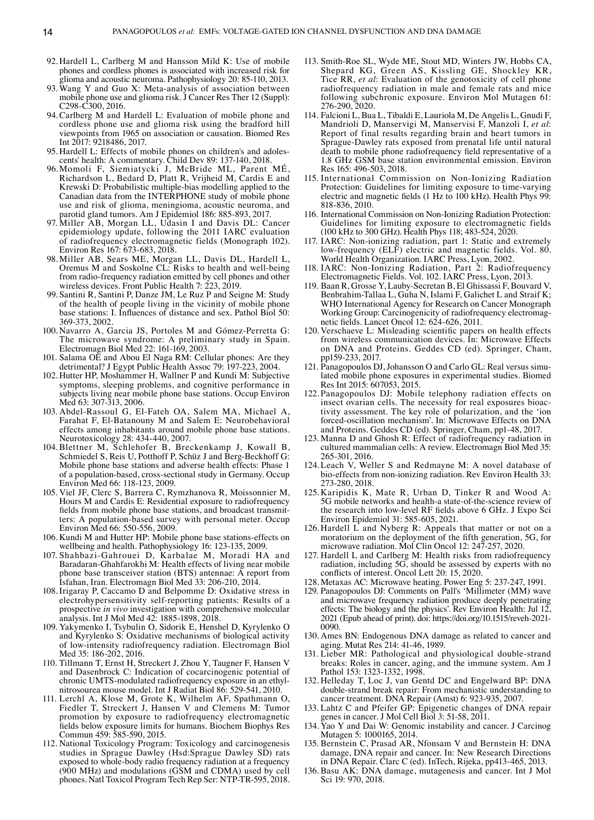- 92. Hardell L, Carlberg M and Hansson Mild K: Use of mobile phones and cordless phones is associated with increased risk for glioma and acoustic neuroma. Pathophysiology 20: 85‑110, 2013.
- 93. Wang Y and Guo X: Meta-analysis of association between mobile phone use and glioma risk. J Cancer Res Ther 12 (Suppl): C298‑C300, 2016.
- 94.Carlberg M and Hardell L: Evaluation of mobile phone and cordless phone use and glioma risk using the bradford hill viewpoints from 1965 on association or causation. Biomed Res Int 2017: 9218486, 2017.
- 95. Hardell L: Effects of mobile phones on children's and adolescents' health: A commentary. Child Dev 89: 137‑140, 2018.
- 96. Momoli F, Siemiatycki J, McBride ML, Parent MÉ, Richardson L, Bedard D, Platt R, Vrijheid M, Cardis E and Krewski D: Probabilistic multiple‑bias modelling applied to the Canadian data from the INTERPHONE study of mobile phone use and risk of glioma, meningioma, acoustic neuroma, and parotid gland tumors. Am J Epidemiol 186: 885‑893, 2017.
- 97. Miller AB, Morgan LL, Udasin I and Davis DL: Cancer epidemiology update, following the 2011 IARC evaluation of radiofrequency electromagnetic fields (Monograph 102). Environ Res 167: 673‑683, 2018.
- 98. Miller AB, Sears ME, Morgan LL, Davis DL, Hardell L, Oremus M and Soskolne CL: Risks to health and well-being from radio-frequency radiation emitted by cell phones and other wireless devices. Front Public Health 7: 223, 2019.
- 99. Santini R, Santini P, Danze JM, Le Ruz P and Seigne M: Study of the health of people living in the vicinity of mobile phone base stations: I. Influences of distance and sex. Pathol Biol 50: 369‑373, 2002.
- 100. Navarro A, Garcia JS, Portoles M and Gómez‑Perretta G: The microwave syndrome: A preliminary study in Spain. Electromagn Biol Med 22: 161‑169, 2003.
- 101. Salama OE and Abou El Naga RM: Cellular phones: Are they detrimental? J Egypt Public Health Assoc 79: 197‑223, 2004.
- 102. Hutter HP, Moshammer H, Wallner P and Kundi M: Subjective symptoms, sleeping problems, and cognitive performance in subjects living near mobile phone base stations. Occup Environ Med 63: 307-313, 2006.
- 103. Abdel‑Rassoul G, El‑Fateh OA, Salem MA, Michael A, Farahat F, El‑Batanouny M and Salem E: Neurobehavioral effects among inhabitants around mobile phone base stations. Neurotoxicology 28: 434‑440, 2007.
- 104. Blettner M, Schlehofer B, Breckenkamp J, Kowall B, Schmiedel S, Reis U, Potthoff P, Schüz J and Berg-Beckhoff G: Mobile phone base stations and adverse health effects: Phase 1 of a population‑based, cross‑sectional study in Germany. Occup Environ Med 66: 118‑123, 2009.
- 105. Viel JF, Clerc S, Barrera C, Rymzhanova R, Moissonnier M, Hours M and Cardis E: Residential exposure to radiofrequency fields from mobile phone base stations, and broadcast transmitters: A population‑based survey with personal meter. Occup Environ Med 66: 550‑556, 2009.
- 106. Kundi M and Hutter HP: Mobile phone base stations‑effects on wellbeing and health. Pathophysiology 16: 123‑135, 2009.
- 107. Shahbazi‑Gahrouei D, Karbalae M, Moradi HA and Baradaran‑Ghahfarokhi M: Health effects of living near mobile phone base transceiver station (BTS) antennae: A report from Isfahan, Iran. Electromagn Biol Med 33: 206‑210, 2014.
- 108. Irigaray P, Caccamo D and Belpomme D: Oxidative stress in electrohypersensitivity self-reporting patients: Results of a prospective *in vivo* investigation with comprehensive molecular analysis. Int J Mol Med 42: 1885‑1898, 2018.
- 109. Yakymenko I, Tsybulin O, Sidorik E, Henshel D, Kyrylenko O and Kyrylenko S: Oxidative mechanisms of biological activity of low‑intensity radiofrequency radiation. Electromagn Biol Med 35: 186‑202, 2016.
- 110. Tillmann T, Ernst H, Streckert J, Zhou Y, Taugner F, Hansen V and Dasenbrock C: Indication of cocarcinogenic potential of chronic UMTS‑modulated radiofrequency exposure in an ethyl‑ nitrosourea mouse model. Int J Radiat Biol 86: 529‑541, 2010.
- 111. Lerchl A, Klose M, Grote K, Wilhelm AF, Spathmann O, Fiedler T, Streckert J, Hansen V and Clemens M: Tumor promotion by exposure to radiofrequency electromagnetic fields below exposure limits for humans. Biochem Biophys Res Commun 459: 585‑590, 2015.
- 112. National Toxicology Program: Toxicology and carcinogenesis studies in Sprague Dawley (Hsd:Sprague Dawley SD) rats exposed to whole‑body radio frequency radiation at a frequency (900 MHz) and modulations (GSM and CDMA) used by cell phones. Natl Toxicol Program Tech Rep Ser: NTP‑TR‑595, 2018.
- 113. Smith‑Roe SL, Wyde ME, Stout MD, Winters JW, Hobbs CA, Shepard KG, Green AS, Kissling GE, Shockley KR, Tice RR, *et al*: Evaluation of the genotoxicity of cell phone radiofrequency radiation in male and female rats and mice following subchronic exposure. Environ Mol Mutagen 61: 276‑290, 2020.
- 114. Falcioni L, Bua L, Tibaldi E, Lauriola M, De Angelis L, Gnudi F, Mandrioli D, Manservigi M, Manservisi F, Manzoli I, *et al*: Report of final results regarding brain and heart tumors in Sprague‑Dawley rats exposed from prenatal life until natural death to mobile phone radiofrequency field representative of a 1.8 GHz GSM base station environmental emission. Environ Res 165: 496‑503, 2018.
- 115. International Commission on Non-Ionizing Radiation Protection: Guidelines for limiting exposure to time-varying electric and magnetic fields (1 Hz to 100 kHz). Health Phys 99: 818‑836, 2010.
- 116. International Commission on Non-Ionizing Radiation Protection: Guidelines for limiting exposure to electromagnetic fields (100 kHz to 300 GHz). Health Phys 118; 483‑524, 2020.
- 117. IARC: Non‑ionizing radiation, part 1: Static and extremely low‑frequency (ELF) electric and magnetic fields. Vol. 80. World Health Organization. IARC Press, Lyon, 2002.
- 118. IARC: Non‑Ionizing Radiation, Part 2: Radiofrequency Electromagnetic Fields. Vol. 102. IARC Press, Lyon, 2013.
- 119. Baan R, Grosse Y, Lauby‑Secretan B, El Ghissassi F, Bouvard V, Benbrahim‑Tallaa L, Guha N, Islami F, Galichet L and Straif K; WHO International Agency for Research on Cancer Monograph Working Group: Carcinogenicity of radiofrequency electromagnetic fields. Lancet Oncol 12: 624‑626, 2011.
- 120. Verschaeve L: Misleading scientific papers on health effects from wireless communication devices. In: Microwave Effects on DNA and Proteins. Geddes CD (ed). Springer, Cham, pp159‑233, 2017.
- 121. Panagopoulos DJ, Johansson O and Carlo GL: Real versus simu‑ lated mobile phone exposures in experimental studies. Biomed Res Int 2015: 607053, 2015.
- 122. Panagopoulos DJ: Mobile telephony radiation effects on insect ovarian cells. The necessity for real exposures bioactivity assessment. The key role of polarization, and the 'ion forced‑oscillation mechanism'. In: Microwave Effects on DNA and Proteins. Geddes CD (ed). Springer, Cham, pp1‑48, 2017.
- 123. Manna D and Ghosh R: Effect of radiofrequency radiation in cultured mammalian cells: A review. Electromagn Biol Med 35: 265‑301, 2016.
- 124. Leach V, Weller S and Redmayne M: A novel database of bio-effects from non-ionizing radiation. Rev Environ Health 33: 273‑280, 2018.
- 125. Karipidis K, Mate R, Urban D, Tinker R and Wood A: 5G mobile networks and health-a state-of-the-science review of the research into low‑level RF fields above 6 GHz. J Expo Sci Environ Epidemiol 31: 585‑605, 2021.
- 126. Hardell L and Nyberg R: Appeals that matter or not on a moratorium on the deployment of the fifth generation, 5G, for microwave radiation. Mol Clin Oncol 12: 247‑257, 2020.
- 127. Hardell L and Carlberg M: Health risks from radiofrequency radiation, including 5G, should be assessed by experts with no conflicts of interest. Oncol Lett 20: 15, 2020.
- 128. Metaxas AC: Microwave heating. Power Eng 5: 237‑247, 1991.
- 129. Panagopoulos DJ: Comments on Pall's 'Millimeter (MM) wave and microwave frequency radiation produce deeply penetrating effects: The biology and the physics'. Rev Environ Health: Jul 12, 2021 (Epub ahead of print). doi: https://doi.org/10.1515/reveh-2021-0090.
- 130. Ames BN: Endogenous DNA damage as related to cancer and aging. Mutat Res 214: 41‑46, 1989.
- 131. Lieber MR: Pathological and physiological double‑strand breaks: Roles in cancer, aging, and the immune system. Am J Pathol 153: 1323‑1332, 1998.
- 132. Helleday T, Loc J, van Gentd DC and Engelward BP: DNA double‑strand break repair: From mechanistic understanding to cancer treatment. DNA Repair (Amst) 6: 923‑935, 2007.
- 133. Lahtz C and Pfeifer GP: Epigenetic changes of DNA repair genes in cancer. J Mol Cell Biol 3: 51-58, 2011.
- 134. Yao Y and Dai W: Genomic instability and cancer. J Carcinog Mutagen 5: 1000165, 2014.
- 135. Bernstein C, Prasad AR, Nfonsam V and Bernstein H: DNA damage, DNA repair and cancer. In: New Research Directions in DNA Repair. Clarc C (ed). InTech, Rijeka, pp413‑465, 2013.
- 136. Basu AK: DNA damage, mutagenesis and cancer. Int J Mol Sci 19: 970, 2018.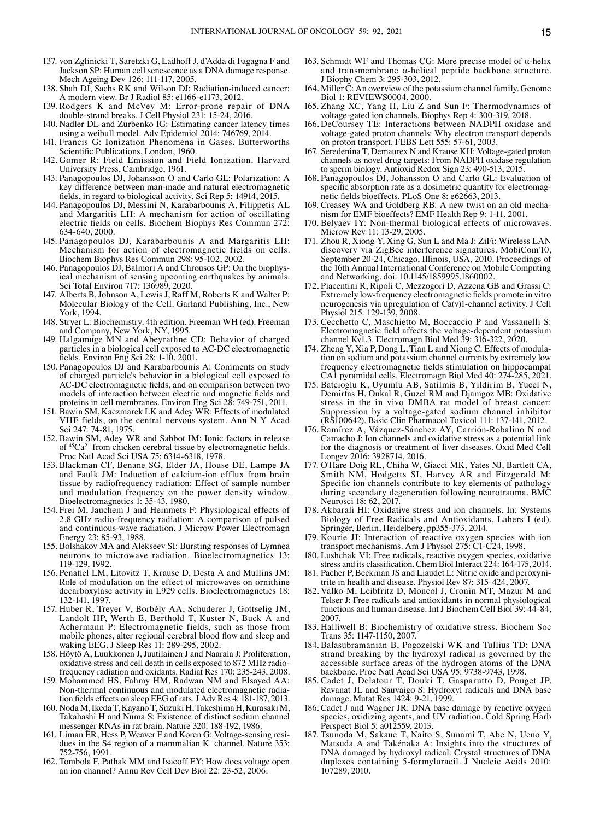- 137. von Zglinicki T, Saretzki G, Ladhoff J, d'Adda di Fagagna F and Jackson SP: Human cell senescence as a DNA damage response. Mech Ageing Dev 126: 111‑117, 2005.
- 138. Shah DJ, Sachs RK and Wilson DJ: Radiation‑induced cancer: A modern view. Br J Radiol 85: e1166‑e1173, 2012.
- 139. Rodgers K and McVey M: Error‑prone repair of DNA double‑strand breaks. J Cell Physiol 231: 15‑24, 2016.
- 140. Nadler DL and Zurbenko IG: Estimating cancer latency times using a weibull model. Adv Epidemiol 2014: 746769, 2014.
- 141. Francis G: Ionization Phenomena in Gases. Butterworths Scientific Publications, London, 1960.
- 142. Gomer R: Field Emission and Field Ionization. Harvard University Press, Cambridge, 1961.
- 143. Panagopoulos DJ, Johansson O and Carlo GL: Polarization: A key difference between man‑made and natural electromagnetic fields, in regard to biological activity. Sci Rep 5: 14914, 2015.
- 144. Panagopoulos DJ, Messini N, Karabarbounis A, Filippetis AL and Margaritis LH: A mechanism for action of oscillating electric fields on cells. Biochem Biophys Res Commun 272: 634‑640, 2000.
- 145. Panagopoulos DJ, Karabarbounis A and Margaritis LH: Mechanism for action of electromagnetic fields on cells. Biochem Biophys Res Commun 298: 95‑102, 2002.
- 146. Panagopoulos DJ, Balmori A and Chrousos GP: On the biophys‑ ical mechanism of sensing upcoming earthquakes by animals. Sci Total Environ 717: 136989, 2020.
- 147. Alberts B, Johnson A, Lewis J, Raff M, Roberts K and Walter P: Molecular Biology of the Cell. Garland Publishing, Inc., New York, 1994.
- 148. Stryer L: Biochemistry. 4th edition. Freeman WH (ed). Freeman and Company, New York, NY, 1995.
- 149. Halgamuge MN and Abeyrathne CD: Behavior of charged particles in a biological cell exposed to AC‑DC electromagnetic fields. Environ Eng Sci 28: 1‑10, 2001.
- 150. Panagopoulos DJ and Karabarbounis A: Comments on study of charged particle's behavior in a biological cell exposed to AC‑DC electromagnetic fields, and on comparison between two models of interaction between electric and magnetic fields and proteins in cell membranes. Environ Eng Sci 28: 749‑751, 2011.
- 151. Bawin SM, Kaczmarek LK and Adey WR: Effects of modulated VHF fields, on the central nervous system. Ann N Y Acad Sci 247: 74‑81, 1975.
- 152. Bawin SM, Adey WR and Sabbot IM: Ionic factors in release of 45Ca2+ from chicken cerebral tissue by electromagnetic fields. Proc Natl Acad Sci USA 75: 6314‑6318, 1978.
- 153. Blackman CF, Benane SG, Elder JA, House DE, Lampe JA and Faulk JM: Induction of calcium-ion efflux from brain tissue by radiofrequency radiation: Effect of sample number and modulation frequency on the power density window. Bioelectromagnetics 1: 35-43, 1980.
- 154. Frei M, Jauchem J and Heinmets F: Physiological effects of 2.8 GHz radio‑frequency radiation: A comparison of pulsed and continuous‑wave radiation. J Microw Power Electromagn Energy 23: 85‑93, 1988.
- 155. Bolshakov MA and Alekseev SI: Bursting responses of Lymnea neurons to microwave radiation. Bioelectromagnetics 13: 119‑129, 1992.
- 156. Penafiel LM, Litovitz T, Krause D, Desta A and Mullins JM: Role of modulation on the effect of microwaves on ornithine decarboxylase activity in L929 cells. Bioelectromagnetics 18: 132‑141, 1997.
- 157. Huber R, Treyer V, Borbély AA, Schuderer J, Gottselig JM, Landolt HP, Werth E, Berthold T, Kuster N, Buck A and Achermann P: Electromagnetic fields, such as those from mobile phones, alter regional cerebral blood flow and sleep and waking EEG. J Sleep Res 11: 289‑295, 2002.
- 158. Höytö A, Luukkonen J, Juutilainen J and Naarala J: Proliferation, oxidative stress and cell death in cells exposed to 872 MHz radio‑ frequency radiation and oxidants. Radiat Res 170: 235‑243, 2008.
- 159. Mohammed HS, Fahmy HM, Radwan NM and Elsayed AA: tion fields effects on sleep EEG of rats. J Adv Res 4: 181-187, 2013.
- 160. Noda M, Ikeda T, Kayano T, Suzuki H, Takeshima H, Kurasaki M, Takahashi H and Numa S: Existence of distinct sodium channel
- messenger RNAs in rat brain. Nature 320: 188-192, 1986.<br>161. Liman ER, Hess P, Weaver F and Koren G: Voltage-sensing resi-161. Liman ER, Hess P, Weaver F and Koren G: Voltage-sensing residues in the S4 region of a mammalian K<sup>+</sup> channel. Nature 353: 752‑756, 1991.
- 162. Tombola F, Pathak MM and Isacoff EY: How does voltage open an ion channel? Annu Rev Cell Dev Biol 22: 23‑52, 2006.
- 163. Schmidt WF and Thomas CG: More precise model of α-helix and transmembrane α‑helical peptide backbone structure. J Biophy Chem 3: 295‑303, 2012.
- 164. Miller C: An overview of the potassium channel family. Genome Biol 1: REVIEWS0004, 2000.
- 165. Zhang XC, Yang H, Liu Z and Sun F: Thermodynamics of voltage‑gated ion channels. Biophys Rep 4: 300‑319, 2018.
- 166. DeCoursey TE: Interactions between NADPH oxidase and voltage‑gated proton channels: Why electron transport depends on proton transport. FEBS Lett 555: 57-61, 2003.
- 167. Seredenina T, Demaurex N and Krause KH: Voltage‑gated proton channels as novel drug targets: From NADPH oxidase regulation to sperm biology. Antioxid Redox Sign 23: 490-513, 2015.
- 168. Panagopoulos DJ, Johansson O and Carlo GL: Evaluation of specific absorption rate as a dosimetric quantity for electromagnetic fields bioeffects. PLoS One 8: e62663, 2013.
- 169. Creasey WA and Goldberg RB: A new twist on an old mechanism for EMF bioeffects? EMF Health Rep 9: 1‑11, 2001.
- 170. Belyaev IY: Non-thermal biological effects of microwaves. Microw Rev 11: 13‑29, 2005.
- 171. Zhou R, Xiong Y, Xing G, Sun L and Ma J: ZiFi: Wireless LAN discovery via ZigBee interference signatures. MobiCom'10, September 20‑24, Chicago, Illinois, USA, 2010. Proceedings of the 16th Annual International Conference on Mobile Computing and Networking. doi: 10.1145/1859995.1860002.
- 172. Piacentini R, Ripoli C, Mezzogori D, Azzena GB and Grassi C: Extremely low‑frequency electromagnetic fields promote in vitro neurogenesis via upregulation of Ca(v)1-channel activity. J Cell Physiol 215: 129-139, 2008.
- 173. Cecchetto C, Maschietto M, Boccaccio P and Vassanelli S: Electromagnetic field affects the voltage‑dependent potassium channel Kv1.3. Electromagn Biol Med 39: 316‑322, 2020.
- 174. Zheng Y, Xia P, Dong L, Tian L and Xiong C: Effects of modula‑ tion on sodium and potassium channel currents by extremely low frequency electromagnetic fields stimulation on hippocampal CA1 pyramidal cells. Electromagn Biol Med 40: 274‑285, 2021.
- 175. Batcioglu K, Uyumlu AB, Satilmis B, Yildirim B, Yucel N, Demirtas H, Onkal R, Guzel RM and Djamgoz MB: Oxidative stress in the in vivo DMBA rat model of breast cancer: Suppression by a voltage‑gated sodium channel inhibitor (RS100642). Basic Clin Pharmacol Toxicol 111: 137‑141, 2012.
- 176. Ramírez A, Vázquez‑Sánchez AY, Carrión‑Robalino N and Camacho J: Ion channels and oxidative stress as a potential link for the diagnosis or treatment of liver diseases. Oxid Med Cell Longev 2016: 3928714, 2016.
- 177. O'Hare Doig RL, Chiha W, Giacci MK, Yates NJ, Bartlett CA, Smith NM, Hodgetts SI, Harvey AR and Fitzgerald M: Specific ion channels contribute to key elements of pathology during secondary degeneration following neurotrauma. BMC Neurosci 18: 62, 2017.
- 178. Akbarali HI: Oxidative stress and ion channels. In: Systems Biology of Free Radicals and Antioxidants. Lahers I (ed). Springer, Berlin, Heidelberg, pp355‑373, 2014.
- 179. Kourie JI: Interaction of reactive oxygen species with ion transport mechanisms. Am J Physiol 275: C1‑C24, 1998.
- 180. Lushchak VI: Free radicals, reactive oxygen species, oxidative stress and its classification. Chem Biol Interact 224: 164‑175, 2014.
- 181. Pacher P, Beckman JS and Liaudet L: Nitric oxide and peroxynitrite in health and disease. Physiol Rev 87: 315‑424, 2007.
- 182. Valko M, Leibfritz D, Moncol J, Cronin MT, Mazur M and Telser J: Free radicals and antioxidants in normal physiological functions and human disease. Int J Biochem Cell Biol 39: 44‑84, 2007.
- 183. Halliwell B: Biochemistry of oxidative stress. Biochem Soc Trans 35: 1147‑1150, 2007.
- 184. Balasubramanian B, Pogozelski WK and Tullius TD: DNA strand breaking by the hydroxyl radical is governed by the accessible surface areas of the hydrogen atoms of the DNA backbone. Proc Natl Acad Sci USA 95: 9738‑9743, 1998.
- 185. Cadet J, Delatour T, Douki T, Gasparutto D, Pouget JP, Ravanat JL and Sauvaigo S: Hydroxyl radicals and DNA base damage. Mutat Res 1424: 9‑21, 1999.
- 186. Cadet J and Wagner JR: DNA base damage by reactive oxygen species, oxidizing agents, and UV radiation. Cold Spring Harb Perspect Biol 5: a012559, 2013.
- 187. Tsunoda M, Sakaue T, Naito S, Sunami T, Abe N, Ueno Y, Matsuda A and Takénaka A: Insights into the structures of DNA damaged by hydroxyl radical: Crystal structures of DNA duplexes containing 5‑formyluracil. J Nucleic Acids 2010: 107289, 2010.